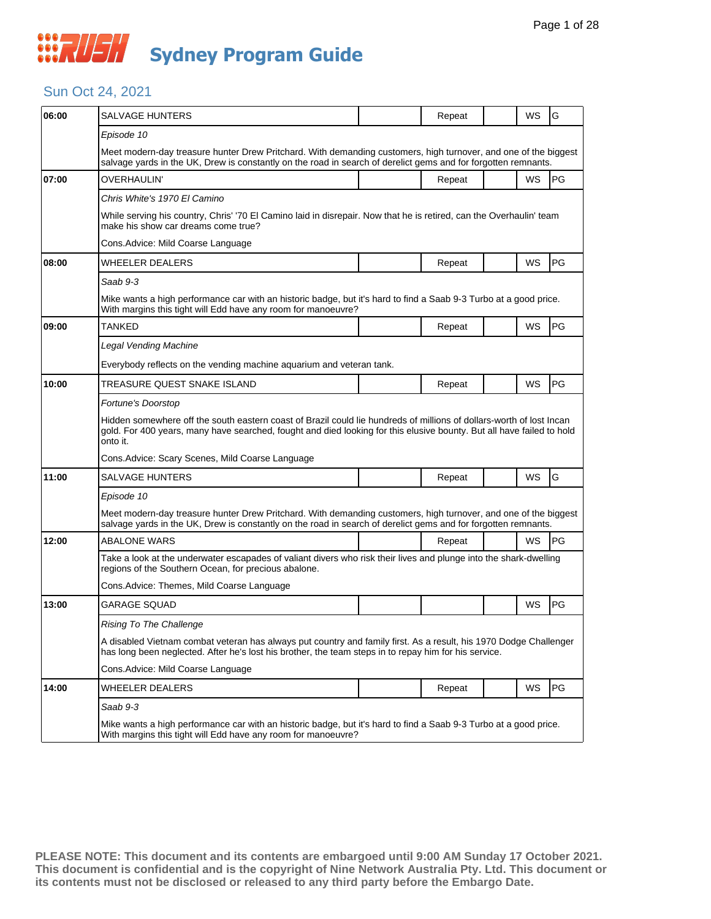

### Sun Oct 24, 2021

| 06:00 | SALVAGE HUNTERS                                                                                                                                                                                                                                           |  | Repeat |  | WS | G  |  |  |
|-------|-----------------------------------------------------------------------------------------------------------------------------------------------------------------------------------------------------------------------------------------------------------|--|--------|--|----|----|--|--|
|       | Episode 10                                                                                                                                                                                                                                                |  |        |  |    |    |  |  |
|       | Meet modern-day treasure hunter Drew Pritchard. With demanding customers, high turnover, and one of the biggest<br>salvage yards in the UK, Drew is constantly on the road in search of derelict gems and for forgotten remnants.                         |  |        |  |    |    |  |  |
| 07:00 | <b>OVERHAULIN'</b>                                                                                                                                                                                                                                        |  | Repeat |  | WS | PG |  |  |
|       | Chris White's 1970 El Camino                                                                                                                                                                                                                              |  |        |  |    |    |  |  |
|       | While serving his country, Chris' '70 El Camino laid in disrepair. Now that he is retired, can the Overhaulin' team<br>make his show car dreams come true?                                                                                                |  |        |  |    |    |  |  |
|       | Cons.Advice: Mild Coarse Language                                                                                                                                                                                                                         |  |        |  |    |    |  |  |
| 08:00 | WHEELER DEALERS                                                                                                                                                                                                                                           |  | Repeat |  | WS | PG |  |  |
|       | Saab 9-3                                                                                                                                                                                                                                                  |  |        |  |    |    |  |  |
|       | Mike wants a high performance car with an historic badge, but it's hard to find a Saab 9-3 Turbo at a good price.<br>With margins this tight will Edd have any room for manoeuvre?                                                                        |  |        |  |    |    |  |  |
| 09:00 | TANKED                                                                                                                                                                                                                                                    |  | Repeat |  | WS | PG |  |  |
|       | Legal Vending Machine                                                                                                                                                                                                                                     |  |        |  |    |    |  |  |
|       | Everybody reflects on the vending machine aquarium and veteran tank.                                                                                                                                                                                      |  |        |  |    |    |  |  |
| 10:00 | TREASURE QUEST SNAKE ISLAND                                                                                                                                                                                                                               |  | Repeat |  | WS | PG |  |  |
|       | Fortune's Doorstop                                                                                                                                                                                                                                        |  |        |  |    |    |  |  |
|       | Hidden somewhere off the south eastern coast of Brazil could lie hundreds of millions of dollars-worth of lost Incan<br>gold. For 400 years, many have searched, fought and died looking for this elusive bounty. But all have failed to hold<br>onto it. |  |        |  |    |    |  |  |
|       | Cons.Advice: Scary Scenes, Mild Coarse Language                                                                                                                                                                                                           |  |        |  |    |    |  |  |
| 11:00 | SALVAGE HUNTERS                                                                                                                                                                                                                                           |  | Repeat |  | WS | G  |  |  |
|       | Episode 10                                                                                                                                                                                                                                                |  |        |  |    |    |  |  |
|       | Meet modern-day treasure hunter Drew Pritchard. With demanding customers, high turnover, and one of the biggest<br>salvage yards in the UK, Drew is constantly on the road in search of derelict gems and for forgotten remnants.                         |  |        |  |    |    |  |  |
| 12:00 | ABALONE WARS                                                                                                                                                                                                                                              |  | Repeat |  | WS | PG |  |  |
|       | Take a look at the underwater escapades of valiant divers who risk their lives and plunge into the shark-dwelling<br>regions of the Southern Ocean, for precious abalone.                                                                                 |  |        |  |    |    |  |  |
|       | Cons.Advice: Themes, Mild Coarse Language                                                                                                                                                                                                                 |  |        |  |    |    |  |  |
| 13:00 | GARAGE SQUAD                                                                                                                                                                                                                                              |  |        |  | WS | PG |  |  |
|       | Rising To The Challenge                                                                                                                                                                                                                                   |  |        |  |    |    |  |  |
|       | A disabled Vietnam combat veteran has always put country and family first. As a result, his 1970 Dodge Challenger<br>has long been neglected. After he's lost his brother, the team steps in to repay him for his service.                                |  |        |  |    |    |  |  |
|       | Cons.Advice: Mild Coarse Language                                                                                                                                                                                                                         |  |        |  |    |    |  |  |
| 14:00 | WHEELER DEALERS                                                                                                                                                                                                                                           |  | Repeat |  | WS | PG |  |  |
|       | Saab 9-3                                                                                                                                                                                                                                                  |  |        |  |    |    |  |  |
|       | Mike wants a high performance car with an historic badge, but it's hard to find a Saab 9-3 Turbo at a good price.<br>With margins this tight will Edd have any room for manoeuvre?                                                                        |  |        |  |    |    |  |  |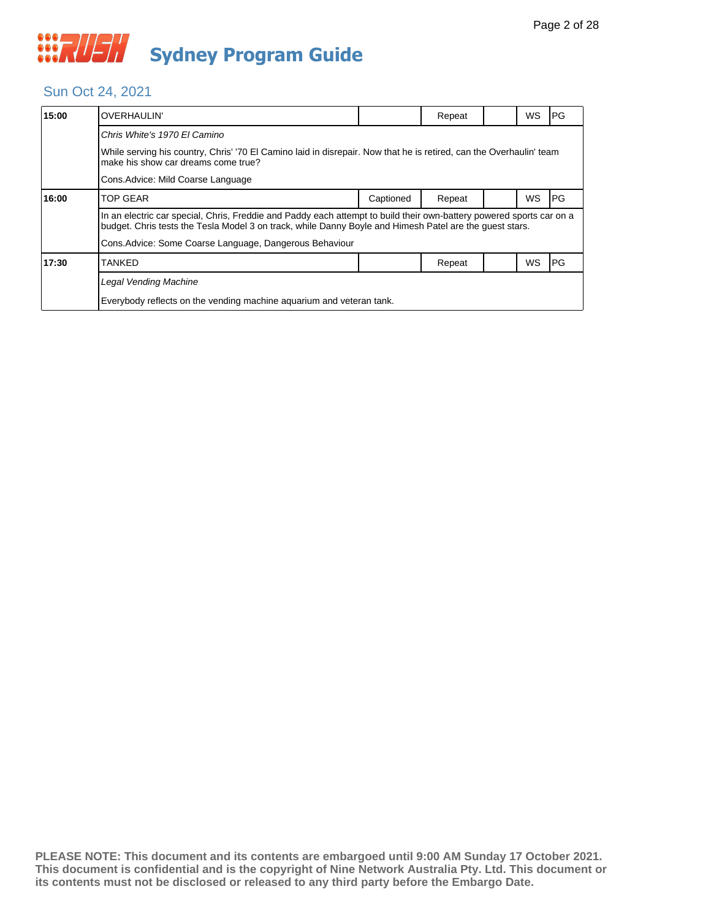## Sun Oct 24, 2021

| 15:00 | <b>OVERHAULIN'</b>                                                                                                                                                                                                              |           | Repeat |  | <b>WS</b> | PG |  |  |
|-------|---------------------------------------------------------------------------------------------------------------------------------------------------------------------------------------------------------------------------------|-----------|--------|--|-----------|----|--|--|
|       | Chris White's 1970 El Camino                                                                                                                                                                                                    |           |        |  |           |    |  |  |
|       | While serving his country, Chris' '70 El Camino laid in disrepair. Now that he is retired, can the Overhaulin' team<br>make his show car dreams come true?                                                                      |           |        |  |           |    |  |  |
|       | Cons. Advice: Mild Coarse Language                                                                                                                                                                                              |           |        |  |           |    |  |  |
| 16:00 | <b>TOP GEAR</b>                                                                                                                                                                                                                 | Captioned | Repeat |  | <b>WS</b> | PG |  |  |
|       | In an electric car special, Chris, Freddie and Paddy each attempt to build their own-battery powered sports car on a<br>budget. Chris tests the Tesla Model 3 on track, while Danny Boyle and Himesh Patel are the quest stars. |           |        |  |           |    |  |  |
|       | Cons. Advice: Some Coarse Language, Dangerous Behaviour                                                                                                                                                                         |           |        |  |           |    |  |  |
| 17:30 | <b>TANKED</b>                                                                                                                                                                                                                   |           | Repeat |  | WS        | PG |  |  |
|       | <b>Legal Vending Machine</b>                                                                                                                                                                                                    |           |        |  |           |    |  |  |
|       | Everybody reflects on the vending machine aquarium and veteran tank.                                                                                                                                                            |           |        |  |           |    |  |  |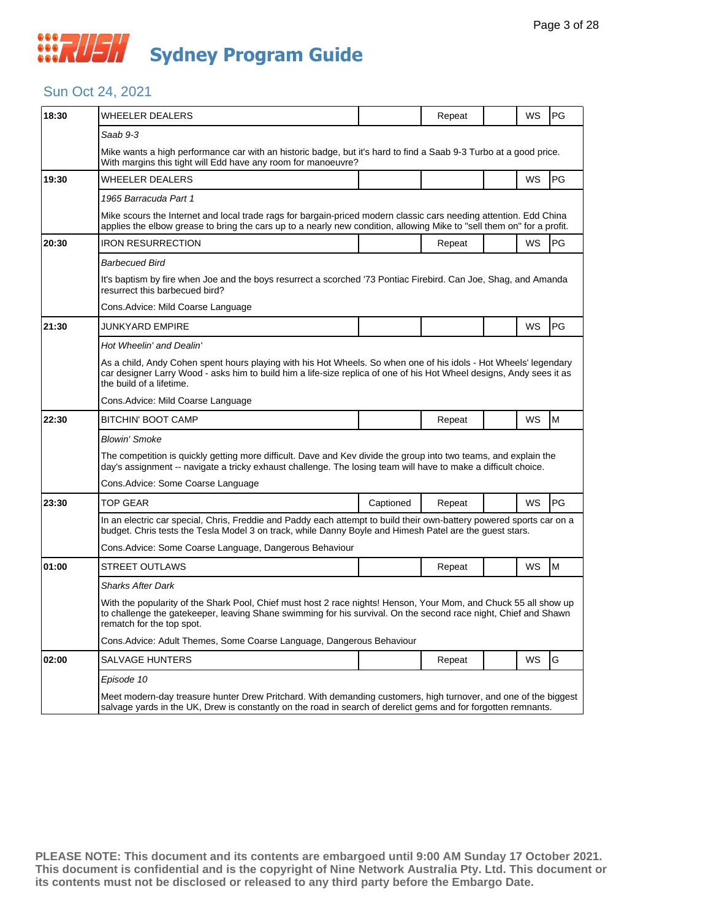## *CONSTRUSH* **Sydney Program Guide**

### Sun Oct 24, 2021

| 18:30 | WHEELER DEALERS                                                                                                                                                                                                                                                      |           | Repeat |  | <b>WS</b> | <b>PG</b> |  |  |
|-------|----------------------------------------------------------------------------------------------------------------------------------------------------------------------------------------------------------------------------------------------------------------------|-----------|--------|--|-----------|-----------|--|--|
|       | Saab 9-3                                                                                                                                                                                                                                                             |           |        |  |           |           |  |  |
|       | Mike wants a high performance car with an historic badge, but it's hard to find a Saab 9-3 Turbo at a good price.<br>With margins this tight will Edd have any room for manoeuvre?                                                                                   |           |        |  |           |           |  |  |
| 19:30 | WHEELER DEALERS                                                                                                                                                                                                                                                      |           |        |  | WS        | PG        |  |  |
|       | 1965 Barracuda Part 1                                                                                                                                                                                                                                                |           |        |  |           |           |  |  |
|       | Mike scours the Internet and local trade rags for bargain-priced modern classic cars needing attention. Edd China<br>applies the elbow grease to bring the cars up to a nearly new condition, allowing Mike to "sell them on" for a profit.                          |           |        |  |           |           |  |  |
| 20:30 | <b>IRON RESURRECTION</b>                                                                                                                                                                                                                                             |           | Repeat |  | <b>WS</b> | <b>PG</b> |  |  |
|       | <b>Barbecued Bird</b>                                                                                                                                                                                                                                                |           |        |  |           |           |  |  |
|       | It's baptism by fire when Joe and the boys resurrect a scorched '73 Pontiac Firebird. Can Joe, Shag, and Amanda<br>resurrect this barbecued bird?                                                                                                                    |           |        |  |           |           |  |  |
|       | Cons.Advice: Mild Coarse Language                                                                                                                                                                                                                                    |           |        |  |           |           |  |  |
| 21:30 | JUNKYARD EMPIRE                                                                                                                                                                                                                                                      |           |        |  | <b>WS</b> | <b>PG</b> |  |  |
|       | Hot Wheelin' and Dealin'                                                                                                                                                                                                                                             |           |        |  |           |           |  |  |
|       | As a child, Andy Cohen spent hours playing with his Hot Wheels. So when one of his idols - Hot Wheels' legendary<br>car designer Larry Wood - asks him to build him a life-size replica of one of his Hot Wheel designs, Andy sees it as<br>the build of a lifetime. |           |        |  |           |           |  |  |
|       | Cons.Advice: Mild Coarse Language                                                                                                                                                                                                                                    |           |        |  |           |           |  |  |
| 22:30 | BITCHIN' BOOT CAMP                                                                                                                                                                                                                                                   |           | Repeat |  | <b>WS</b> | M         |  |  |
|       | Blowin' Smoke                                                                                                                                                                                                                                                        |           |        |  |           |           |  |  |
|       | The competition is quickly getting more difficult. Dave and Kev divide the group into two teams, and explain the<br>day's assignment -- navigate a tricky exhaust challenge. The losing team will have to make a difficult choice.                                   |           |        |  |           |           |  |  |
|       | Cons.Advice: Some Coarse Language                                                                                                                                                                                                                                    |           |        |  |           |           |  |  |
| 23:30 | <b>TOP GEAR</b>                                                                                                                                                                                                                                                      | Captioned | Repeat |  | <b>WS</b> | PG        |  |  |
|       | In an electric car special, Chris, Freddie and Paddy each attempt to build their own-battery powered sports car on a<br>budget. Chris tests the Tesla Model 3 on track, while Danny Boyle and Himesh Patel are the guest stars.                                      |           |        |  |           |           |  |  |
|       | Cons.Advice: Some Coarse Language, Dangerous Behaviour                                                                                                                                                                                                               |           |        |  |           |           |  |  |
| 01:00 | STREET OUTLAWS                                                                                                                                                                                                                                                       |           | Repeat |  | <b>WS</b> | M         |  |  |
|       | Sharks After Dark                                                                                                                                                                                                                                                    |           |        |  |           |           |  |  |
|       | With the popularity of the Shark Pool, Chief must host 2 race nights! Henson, Your Mom, and Chuck 55 all show up<br>to challenge the gatekeeper, leaving Shane swimming for his survival. On the second race night, Chief and Shawn<br>rematch for the top spot.     |           |        |  |           |           |  |  |
|       | Cons.Advice: Adult Themes, Some Coarse Language, Dangerous Behaviour                                                                                                                                                                                                 |           |        |  |           |           |  |  |
| 02:00 | SALVAGE HUNTERS                                                                                                                                                                                                                                                      |           | Repeat |  | WS        | G         |  |  |
|       | Episode 10                                                                                                                                                                                                                                                           |           |        |  |           |           |  |  |
|       | Meet modern-day treasure hunter Drew Pritchard. With demanding customers, high turnover, and one of the biggest<br>salvage yards in the UK, Drew is constantly on the road in search of derelict gems and for forgotten remnants.                                    |           |        |  |           |           |  |  |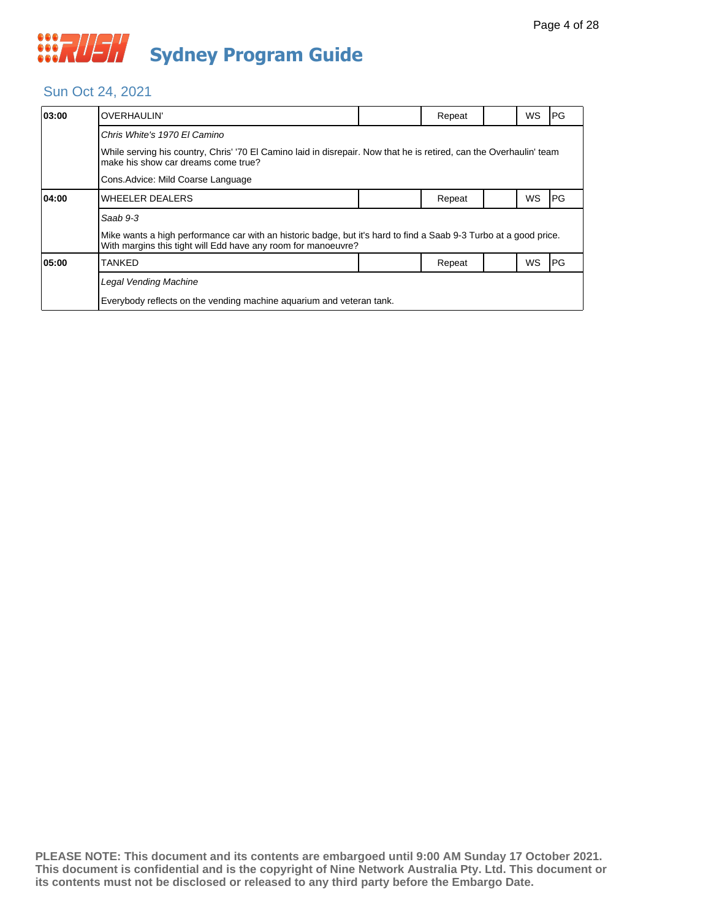## Sun Oct 24, 2021

| 03:00                              | <b>OVERHAULIN'</b>                                                                                                                                                                 |  | Repeat |  | WS        | IPG. |  |  |
|------------------------------------|------------------------------------------------------------------------------------------------------------------------------------------------------------------------------------|--|--------|--|-----------|------|--|--|
|                                    | Chris White's 1970 El Camino                                                                                                                                                       |  |        |  |           |      |  |  |
|                                    | While serving his country, Chris' '70 El Camino laid in disrepair. Now that he is retired, can the Overhaulin' team<br>make his show car dreams come true?                         |  |        |  |           |      |  |  |
| Cons. Advice: Mild Coarse Language |                                                                                                                                                                                    |  |        |  |           |      |  |  |
| 04:00                              | <b>WHEELER DEALERS</b>                                                                                                                                                             |  | Repeat |  | <b>WS</b> | IPG. |  |  |
|                                    | Saab 9-3                                                                                                                                                                           |  |        |  |           |      |  |  |
|                                    | Mike wants a high performance car with an historic badge, but it's hard to find a Saab 9-3 Turbo at a good price.<br>With margins this tight will Edd have any room for manoeuvre? |  |        |  |           |      |  |  |
| 05:00                              | TANKED                                                                                                                                                                             |  | Repeat |  | WS        | l PG |  |  |
|                                    | Legal Vending Machine                                                                                                                                                              |  |        |  |           |      |  |  |
|                                    | Everybody reflects on the vending machine aquarium and veteran tank.                                                                                                               |  |        |  |           |      |  |  |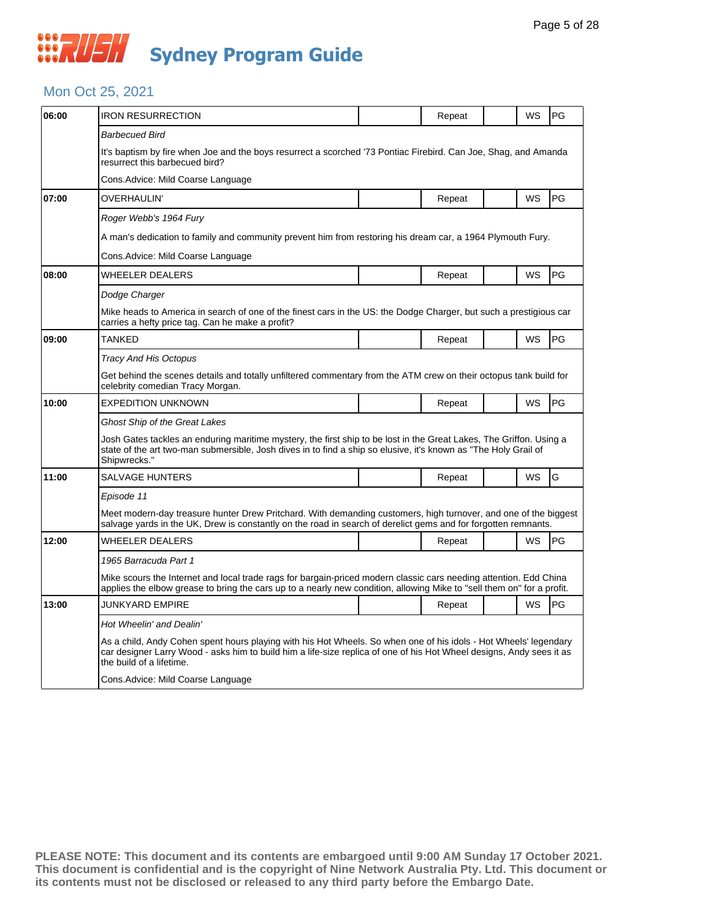## *CONSTRUSH* **Sydney Program Guide**

### Mon Oct 25, 2021

| 06:00 | <b>IRON RESURRECTION</b>                                                                                                                                                                                                                                             |  | Repeat |  | <b>WS</b> | PG        |  |  |
|-------|----------------------------------------------------------------------------------------------------------------------------------------------------------------------------------------------------------------------------------------------------------------------|--|--------|--|-----------|-----------|--|--|
|       | Barbecued Bird                                                                                                                                                                                                                                                       |  |        |  |           |           |  |  |
|       | It's baptism by fire when Joe and the boys resurrect a scorched '73 Pontiac Firebird. Can Joe, Shag, and Amanda<br>resurrect this barbecued bird?                                                                                                                    |  |        |  |           |           |  |  |
|       | Cons.Advice: Mild Coarse Language                                                                                                                                                                                                                                    |  |        |  |           |           |  |  |
| 07:00 | OVERHAULIN'                                                                                                                                                                                                                                                          |  | Repeat |  | <b>WS</b> | <b>PG</b> |  |  |
|       | Roger Webb's 1964 Fury                                                                                                                                                                                                                                               |  |        |  |           |           |  |  |
|       | A man's dedication to family and community prevent him from restoring his dream car, a 1964 Plymouth Fury.                                                                                                                                                           |  |        |  |           |           |  |  |
|       | Cons.Advice: Mild Coarse Language                                                                                                                                                                                                                                    |  |        |  |           |           |  |  |
| 08:00 | WHEELER DEALERS                                                                                                                                                                                                                                                      |  | Repeat |  | WS        | PG        |  |  |
|       | Dodge Charger                                                                                                                                                                                                                                                        |  |        |  |           |           |  |  |
|       | Mike heads to America in search of one of the finest cars in the US: the Dodge Charger, but such a prestigious car<br>carries a hefty price tag. Can he make a profit?                                                                                               |  |        |  |           |           |  |  |
| 09:00 | TANKED                                                                                                                                                                                                                                                               |  | Repeat |  | <b>WS</b> | <b>PG</b> |  |  |
|       | Tracy And His Octopus                                                                                                                                                                                                                                                |  |        |  |           |           |  |  |
|       | Get behind the scenes details and totally unfiltered commentary from the ATM crew on their octopus tank build for<br>celebrity comedian Tracy Morgan.                                                                                                                |  |        |  |           |           |  |  |
| 10:00 | <b>EXPEDITION UNKNOWN</b>                                                                                                                                                                                                                                            |  | Repeat |  | WS        | PG        |  |  |
|       | <b>Ghost Ship of the Great Lakes</b>                                                                                                                                                                                                                                 |  |        |  |           |           |  |  |
|       | Josh Gates tackles an enduring maritime mystery, the first ship to be lost in the Great Lakes, The Griffon. Using a<br>state of the art two-man submersible, Josh dives in to find a ship so elusive, it's known as "The Holy Grail of<br>Shipwrecks."               |  |        |  |           |           |  |  |
| 11:00 | <b>SALVAGE HUNTERS</b>                                                                                                                                                                                                                                               |  | Repeat |  | WS        | G         |  |  |
|       | Episode 11                                                                                                                                                                                                                                                           |  |        |  |           |           |  |  |
|       | Meet modern-day treasure hunter Drew Pritchard. With demanding customers, high turnover, and one of the biggest<br>salvage yards in the UK, Drew is constantly on the road in search of derelict gems and for forgotten remnants.                                    |  |        |  |           |           |  |  |
| 12:00 | WHEELER DEALERS                                                                                                                                                                                                                                                      |  | Repeat |  | <b>WS</b> | <b>PG</b> |  |  |
|       | 1965 Barracuda Part 1                                                                                                                                                                                                                                                |  |        |  |           |           |  |  |
|       | Mike scours the Internet and local trade rags for bargain-priced modern classic cars needing attention. Edd China<br>applies the elbow grease to bring the cars up to a nearly new condition, allowing Mike to "sell them on" for a profit.                          |  |        |  |           |           |  |  |
| 13:00 | JUNKYARD EMPIRE                                                                                                                                                                                                                                                      |  | Repeat |  | <b>WS</b> | <b>PG</b> |  |  |
|       | Hot Wheelin' and Dealin'                                                                                                                                                                                                                                             |  |        |  |           |           |  |  |
|       | As a child, Andy Cohen spent hours playing with his Hot Wheels. So when one of his idols - Hot Wheels' legendary<br>car designer Larry Wood - asks him to build him a life-size replica of one of his Hot Wheel designs, Andy sees it as<br>the build of a lifetime. |  |        |  |           |           |  |  |
|       | Cons. Advice: Mild Coarse Language                                                                                                                                                                                                                                   |  |        |  |           |           |  |  |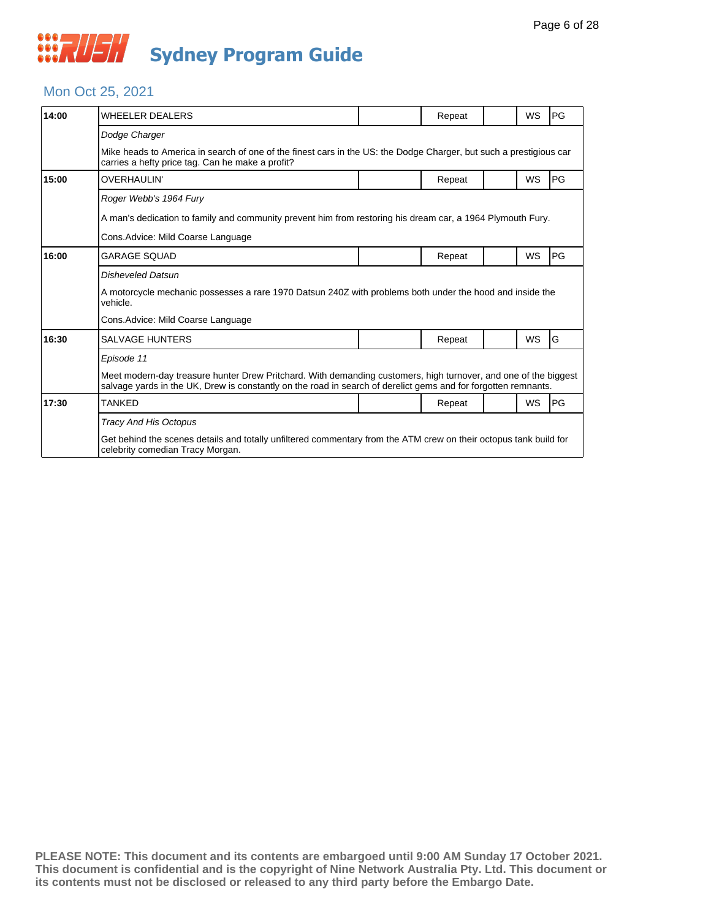

### Mon Oct 25, 2021

| 14:00 | <b>WHEELER DEALERS</b>                                                                                                                                                                                                            |  | Repeat |  | WS | PG        |  |  |
|-------|-----------------------------------------------------------------------------------------------------------------------------------------------------------------------------------------------------------------------------------|--|--------|--|----|-----------|--|--|
|       | Dodge Charger                                                                                                                                                                                                                     |  |        |  |    |           |  |  |
|       | Mike heads to America in search of one of the finest cars in the US: the Dodge Charger, but such a prestigious car<br>carries a hefty price tag. Can he make a profit?                                                            |  |        |  |    |           |  |  |
| 15:00 | OVERHAULIN'                                                                                                                                                                                                                       |  | Repeat |  | WS | PG        |  |  |
|       | Roger Webb's 1964 Fury                                                                                                                                                                                                            |  |        |  |    |           |  |  |
|       | A man's dedication to family and community prevent him from restoring his dream car, a 1964 Plymouth Fury.                                                                                                                        |  |        |  |    |           |  |  |
|       | Cons. Advice: Mild Coarse Language                                                                                                                                                                                                |  |        |  |    |           |  |  |
| 16:00 | <b>GARAGE SOUAD</b>                                                                                                                                                                                                               |  | Repeat |  | WS | PG        |  |  |
|       | <b>Disheveled Datsun</b>                                                                                                                                                                                                          |  |        |  |    |           |  |  |
|       | A motorcycle mechanic possesses a rare 1970 Datsun 240Z with problems both under the hood and inside the<br>vehicle.                                                                                                              |  |        |  |    |           |  |  |
|       | Cons. Advice: Mild Coarse Language                                                                                                                                                                                                |  |        |  |    |           |  |  |
| 16:30 | <b>SALVAGE HUNTERS</b>                                                                                                                                                                                                            |  | Repeat |  | WS | G         |  |  |
|       | Episode 11                                                                                                                                                                                                                        |  |        |  |    |           |  |  |
|       | Meet modern-day treasure hunter Drew Pritchard. With demanding customers, high turnover, and one of the biggest<br>salvage yards in the UK, Drew is constantly on the road in search of derelict gems and for forgotten remnants. |  |        |  |    |           |  |  |
| 17:30 | <b>TANKED</b>                                                                                                                                                                                                                     |  | Repeat |  | WS | <b>PG</b> |  |  |
|       | <b>Tracy And His Octopus</b>                                                                                                                                                                                                      |  |        |  |    |           |  |  |
|       | Get behind the scenes details and totally unfiltered commentary from the ATM crew on their octopus tank build for<br>celebrity comedian Tracy Morgan.                                                                             |  |        |  |    |           |  |  |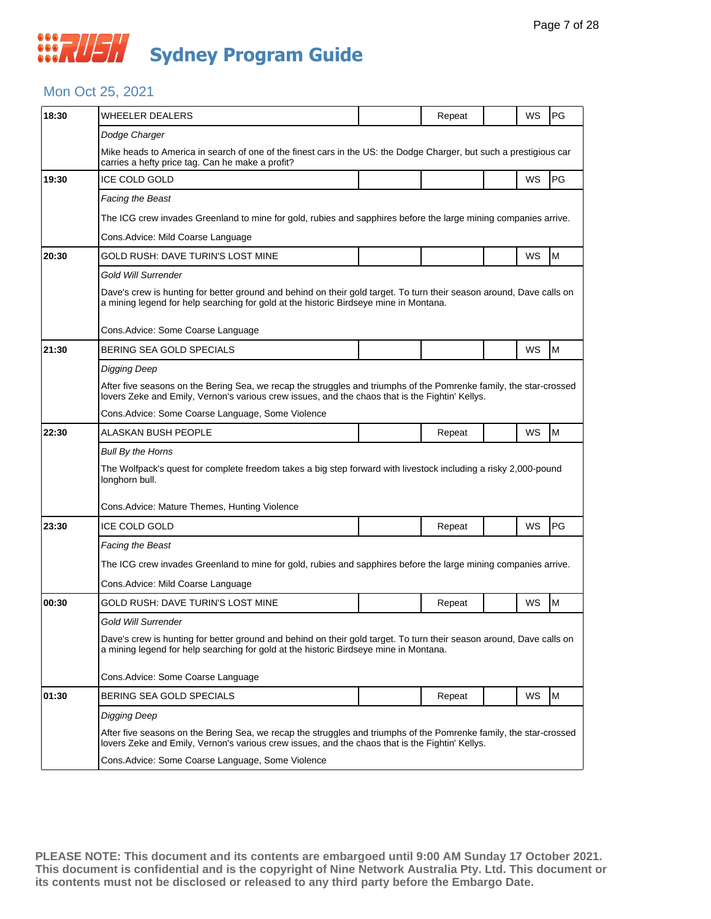## **WAUSH Sydney Program Guide**

### Mon Oct 25, 2021

| 18:30 | <b>WHEELER DEALERS</b>                                                                                                                                                                                                |                                                                                                                                                                                                               | Repeat |  | WS | PG        |  |  |
|-------|-----------------------------------------------------------------------------------------------------------------------------------------------------------------------------------------------------------------------|---------------------------------------------------------------------------------------------------------------------------------------------------------------------------------------------------------------|--------|--|----|-----------|--|--|
|       | Dodge Charger                                                                                                                                                                                                         |                                                                                                                                                                                                               |        |  |    |           |  |  |
|       | Mike heads to America in search of one of the finest cars in the US: the Dodge Charger, but such a prestigious car<br>carries a hefty price tag. Can he make a profit?                                                |                                                                                                                                                                                                               |        |  |    |           |  |  |
| 19:30 | ICE COLD GOLD                                                                                                                                                                                                         |                                                                                                                                                                                                               |        |  | WS | <b>PG</b> |  |  |
|       | Facing the Beast                                                                                                                                                                                                      |                                                                                                                                                                                                               |        |  |    |           |  |  |
|       | The ICG crew invades Greenland to mine for gold, rubies and sapphires before the large mining companies arrive.                                                                                                       |                                                                                                                                                                                                               |        |  |    |           |  |  |
|       | Cons. Advice: Mild Coarse Language                                                                                                                                                                                    |                                                                                                                                                                                                               |        |  |    |           |  |  |
| 20:30 | GOLD RUSH: DAVE TURIN'S LOST MINE                                                                                                                                                                                     |                                                                                                                                                                                                               |        |  | WS | M         |  |  |
|       | Gold Will Surrender                                                                                                                                                                                                   |                                                                                                                                                                                                               |        |  |    |           |  |  |
|       |                                                                                                                                                                                                                       | Dave's crew is hunting for better ground and behind on their gold target. To turn their season around, Dave calls on<br>a mining legend for help searching for gold at the historic Birdseye mine in Montana. |        |  |    |           |  |  |
|       | Cons.Advice: Some Coarse Language                                                                                                                                                                                     |                                                                                                                                                                                                               |        |  |    |           |  |  |
| 21:30 | BERING SEA GOLD SPECIALS                                                                                                                                                                                              |                                                                                                                                                                                                               |        |  | WS | M         |  |  |
|       | Digging Deep                                                                                                                                                                                                          |                                                                                                                                                                                                               |        |  |    |           |  |  |
|       | After five seasons on the Bering Sea, we recap the struggles and triumphs of the Pomrenke family, the star-crossed<br>lovers Zeke and Emily, Vernon's various crew issues, and the chaos that is the Fightin' Kellys. |                                                                                                                                                                                                               |        |  |    |           |  |  |
|       | Cons.Advice: Some Coarse Language, Some Violence                                                                                                                                                                      |                                                                                                                                                                                                               |        |  |    |           |  |  |
| 22:30 | ALASKAN BUSH PEOPLE                                                                                                                                                                                                   |                                                                                                                                                                                                               | Repeat |  | WS | M         |  |  |
|       | <b>Bull By the Horns</b>                                                                                                                                                                                              |                                                                                                                                                                                                               |        |  |    |           |  |  |
|       | The Wolfpack's quest for complete freedom takes a big step forward with livestock including a risky 2,000-pound<br>longhorn bull.                                                                                     |                                                                                                                                                                                                               |        |  |    |           |  |  |
|       | Cons.Advice: Mature Themes, Hunting Violence                                                                                                                                                                          |                                                                                                                                                                                                               |        |  |    |           |  |  |
| 23:30 | <b>ICE COLD GOLD</b>                                                                                                                                                                                                  |                                                                                                                                                                                                               | Repeat |  | WS | PG        |  |  |
|       | Facing the Beast                                                                                                                                                                                                      |                                                                                                                                                                                                               |        |  |    |           |  |  |
|       | The ICG crew invades Greenland to mine for gold, rubies and sapphires before the large mining companies arrive.                                                                                                       |                                                                                                                                                                                                               |        |  |    |           |  |  |
|       | Cons.Advice: Mild Coarse Language                                                                                                                                                                                     |                                                                                                                                                                                                               |        |  |    |           |  |  |
| 00:30 | GOLD RUSH: DAVE TURIN'S LOST MINE                                                                                                                                                                                     |                                                                                                                                                                                                               | Repeat |  | WS | M         |  |  |
|       | Gold Will Surrender                                                                                                                                                                                                   |                                                                                                                                                                                                               |        |  |    |           |  |  |
|       | Dave's crew is hunting for better ground and behind on their gold target. To turn their season around, Dave calls on<br>a mining legend for help searching for gold at the historic Birdseye mine in Montana.         |                                                                                                                                                                                                               |        |  |    |           |  |  |
|       | Cons. Advice: Some Coarse Language                                                                                                                                                                                    |                                                                                                                                                                                                               |        |  |    |           |  |  |
|       |                                                                                                                                                                                                                       |                                                                                                                                                                                                               |        |  |    |           |  |  |
| 01:30 | BERING SEA GOLD SPECIALS                                                                                                                                                                                              |                                                                                                                                                                                                               | Repeat |  | WS | M         |  |  |
|       | Digging Deep                                                                                                                                                                                                          |                                                                                                                                                                                                               |        |  |    |           |  |  |
|       | After five seasons on the Bering Sea, we recap the struggles and triumphs of the Pomrenke family, the star-crossed<br>lovers Zeke and Emily, Vernon's various crew issues, and the chaos that is the Fightin' Kellys. |                                                                                                                                                                                                               |        |  |    |           |  |  |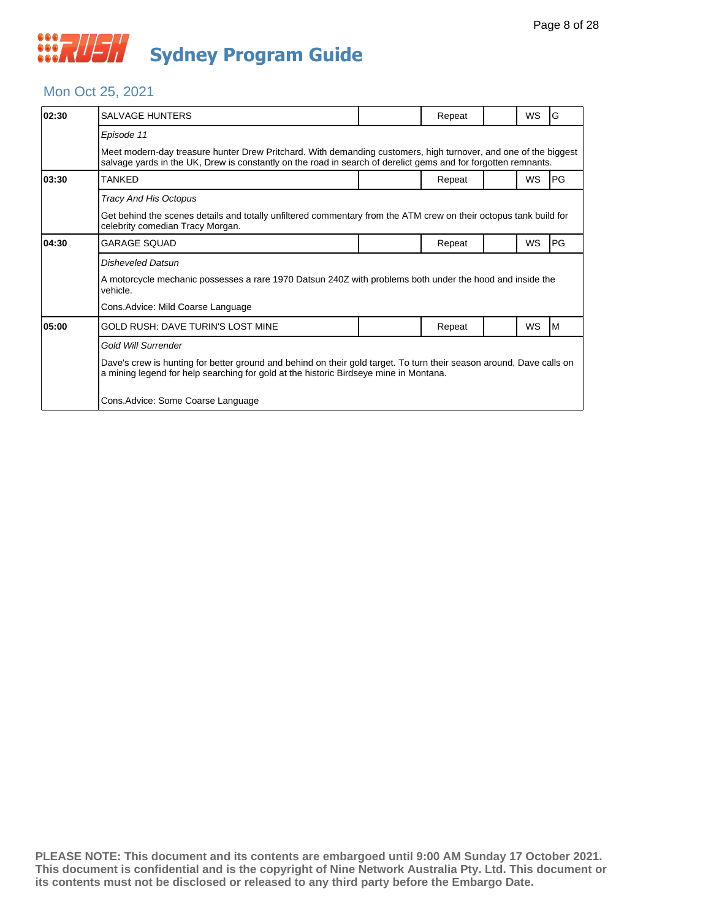

## Mon Oct 25, 2021

| 02:30 | SALVAGE HUNTERS                                                                                                                                                                                                                   |  | Repeat |  | <b>WS</b> | G  |  |  |
|-------|-----------------------------------------------------------------------------------------------------------------------------------------------------------------------------------------------------------------------------------|--|--------|--|-----------|----|--|--|
|       | Episode 11                                                                                                                                                                                                                        |  |        |  |           |    |  |  |
|       | Meet modern-day treasure hunter Drew Pritchard. With demanding customers, high turnover, and one of the biggest<br>salvage yards in the UK, Drew is constantly on the road in search of derelict gems and for forgotten remnants. |  |        |  |           |    |  |  |
| 03:30 | <b>TANKED</b>                                                                                                                                                                                                                     |  | Repeat |  | <b>WS</b> | PG |  |  |
|       | <b>Tracy And His Octopus</b>                                                                                                                                                                                                      |  |        |  |           |    |  |  |
|       | Get behind the scenes details and totally unfiltered commentary from the ATM crew on their octopus tank build for<br>celebrity comedian Tracy Morgan.                                                                             |  |        |  |           |    |  |  |
| 04:30 | <b>GARAGE SOUAD</b>                                                                                                                                                                                                               |  | Repeat |  | WS        | PG |  |  |
|       | Disheveled Datsun                                                                                                                                                                                                                 |  |        |  |           |    |  |  |
|       | A motorcycle mechanic possesses a rare 1970 Datsun 240Z with problems both under the hood and inside the<br>vehicle.                                                                                                              |  |        |  |           |    |  |  |
|       | Cons. Advice: Mild Coarse Language                                                                                                                                                                                                |  |        |  |           |    |  |  |
| 05:00 | <b>GOLD RUSH: DAVE TURIN'S LOST MINE</b>                                                                                                                                                                                          |  | Repeat |  | <b>WS</b> | ΙM |  |  |
|       | <b>Gold Will Surrender</b>                                                                                                                                                                                                        |  |        |  |           |    |  |  |
|       | Dave's crew is hunting for better ground and behind on their gold target. To turn their season around, Dave calls on<br>a mining legend for help searching for gold at the historic Birdseye mine in Montana.                     |  |        |  |           |    |  |  |
|       | Cons. Advice: Some Coarse Language                                                                                                                                                                                                |  |        |  |           |    |  |  |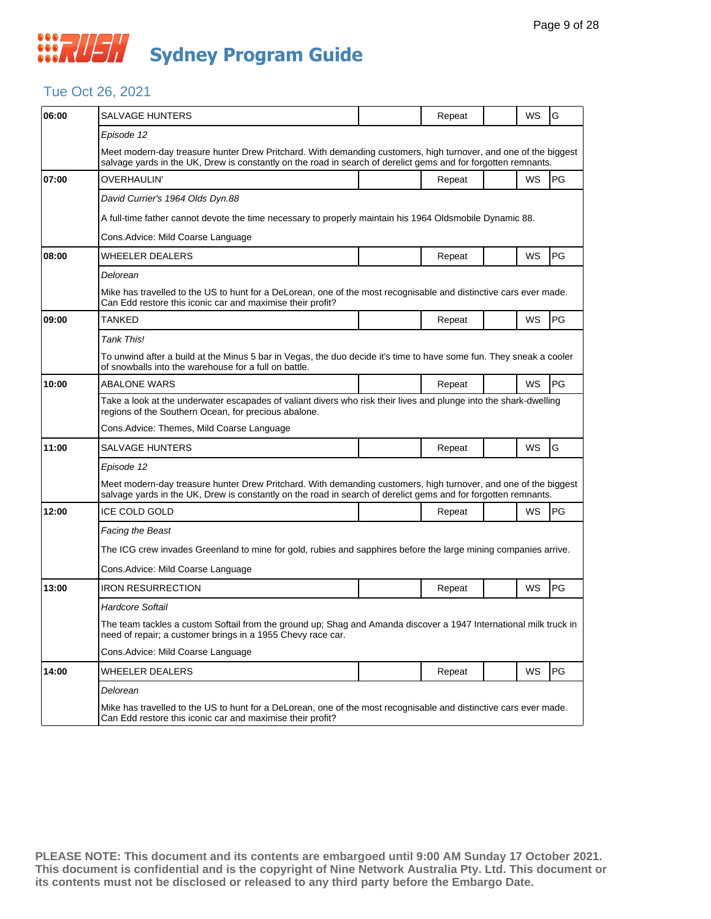## **WAUSH Sydney Program Guide**

## Tue Oct 26, 2021

| 06:00 | <b>SALVAGE HUNTERS</b>                                                                                                                                                                                                            |  | Repeat |  | WS        | G         |  |  |
|-------|-----------------------------------------------------------------------------------------------------------------------------------------------------------------------------------------------------------------------------------|--|--------|--|-----------|-----------|--|--|
|       | Episode 12                                                                                                                                                                                                                        |  |        |  |           |           |  |  |
|       | Meet modern-day treasure hunter Drew Pritchard. With demanding customers, high turnover, and one of the biggest<br>salvage yards in the UK, Drew is constantly on the road in search of derelict gems and for forgotten remnants. |  |        |  |           |           |  |  |
| 07:00 | <b>OVERHAULIN'</b>                                                                                                                                                                                                                |  | Repeat |  | WS        | PG        |  |  |
|       | David Currier's 1964 Olds Dyn.88                                                                                                                                                                                                  |  |        |  |           |           |  |  |
|       | A full-time father cannot devote the time necessary to properly maintain his 1964 Oldsmobile Dynamic 88.                                                                                                                          |  |        |  |           |           |  |  |
|       | Cons. Advice: Mild Coarse Language                                                                                                                                                                                                |  |        |  |           |           |  |  |
| 08:00 | WHEELER DEALERS                                                                                                                                                                                                                   |  | Repeat |  | WS        | <b>PG</b> |  |  |
|       | Delorean                                                                                                                                                                                                                          |  |        |  |           |           |  |  |
|       | Mike has travelled to the US to hunt for a DeLorean, one of the most recognisable and distinctive cars ever made.<br>Can Edd restore this iconic car and maximise their profit?                                                   |  |        |  |           |           |  |  |
| 09:00 | TANKED                                                                                                                                                                                                                            |  | Repeat |  | WS        | PG        |  |  |
|       | Tank This!                                                                                                                                                                                                                        |  |        |  |           |           |  |  |
|       | To unwind after a build at the Minus 5 bar in Vegas, the duo decide it's time to have some fun. They sneak a cooler<br>of snowballs into the warehouse for a full on battle.                                                      |  |        |  |           |           |  |  |
| 10:00 | ABALONE WARS                                                                                                                                                                                                                      |  | Repeat |  | WS        | PG        |  |  |
|       | Take a look at the underwater escapades of valiant divers who risk their lives and plunge into the shark-dwelling<br>regions of the Southern Ocean, for precious abalone.                                                         |  |        |  |           |           |  |  |
|       | Cons.Advice: Themes, Mild Coarse Language                                                                                                                                                                                         |  |        |  |           |           |  |  |
| 11:00 | SALVAGE HUNTERS                                                                                                                                                                                                                   |  | Repeat |  | WS        | G         |  |  |
|       | Episode 12                                                                                                                                                                                                                        |  |        |  |           |           |  |  |
|       | Meet modern-day treasure hunter Drew Pritchard. With demanding customers, high turnover, and one of the biggest<br>salvage yards in the UK, Drew is constantly on the road in search of derelict gems and for forgotten remnants. |  |        |  |           |           |  |  |
| 12:00 | <b>ICE COLD GOLD</b>                                                                                                                                                                                                              |  | Repeat |  | WS        | PG        |  |  |
|       | Facing the Beast                                                                                                                                                                                                                  |  |        |  |           |           |  |  |
|       | The ICG crew invades Greenland to mine for gold, rubies and sapphires before the large mining companies arrive.                                                                                                                   |  |        |  |           |           |  |  |
|       | Cons. Advice: Mild Coarse Language                                                                                                                                                                                                |  |        |  |           |           |  |  |
| 13:00 | <b>IRON RESURRECTION</b>                                                                                                                                                                                                          |  | Repeat |  | WS        | PG        |  |  |
|       | Hardcore Softail                                                                                                                                                                                                                  |  |        |  |           |           |  |  |
|       | The team tackles a custom Softail from the ground up; Shag and Amanda discover a 1947 International milk truck in<br>need of repair; a customer brings in a 1955 Chevy race car.                                                  |  |        |  |           |           |  |  |
|       | Cons.Advice: Mild Coarse Language                                                                                                                                                                                                 |  |        |  |           |           |  |  |
| 14:00 | WHEELER DEALERS                                                                                                                                                                                                                   |  | Repeat |  | <b>WS</b> | PG        |  |  |
|       | Delorean                                                                                                                                                                                                                          |  |        |  |           |           |  |  |
|       | Mike has travelled to the US to hunt for a DeLorean, one of the most recognisable and distinctive cars ever made.<br>Can Edd restore this iconic car and maximise their profit?                                                   |  |        |  |           |           |  |  |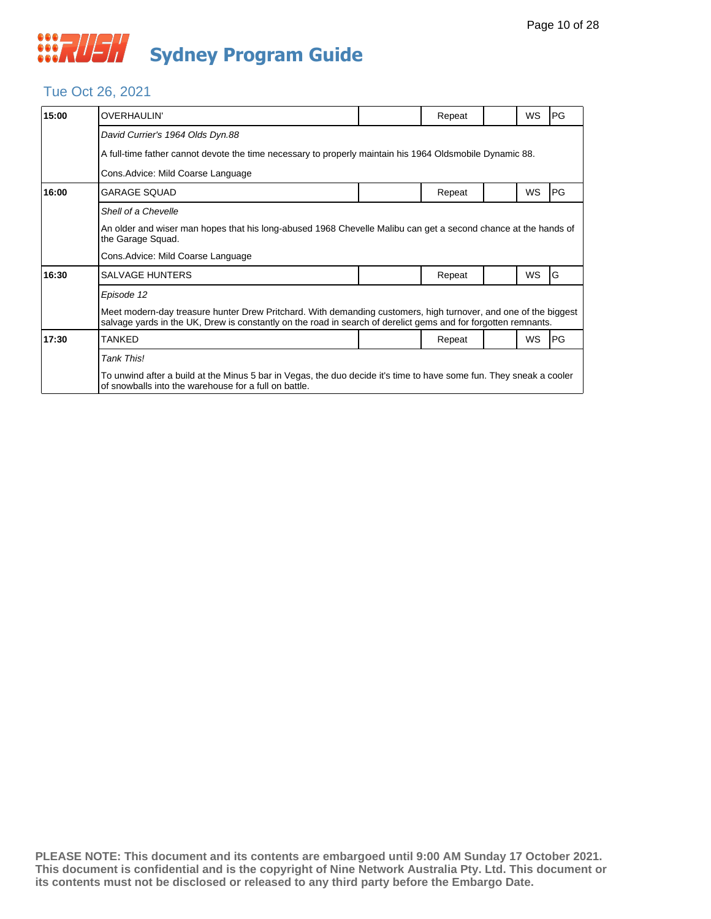## Tue Oct 26, 2021

| 15:00 | <b>OVERHAULIN'</b>                                                                                                                                                                                                                |  | Repeat |  | WS | PG        |  |  |
|-------|-----------------------------------------------------------------------------------------------------------------------------------------------------------------------------------------------------------------------------------|--|--------|--|----|-----------|--|--|
|       | David Currier's 1964 Olds Dyn.88                                                                                                                                                                                                  |  |        |  |    |           |  |  |
|       | A full-time father cannot devote the time necessary to properly maintain his 1964 Oldsmobile Dynamic 88.                                                                                                                          |  |        |  |    |           |  |  |
|       | Cons. Advice: Mild Coarse Language                                                                                                                                                                                                |  |        |  |    |           |  |  |
| 16:00 | <b>GARAGE SQUAD</b>                                                                                                                                                                                                               |  | Repeat |  | WS | PG        |  |  |
|       | Shell of a Chevelle                                                                                                                                                                                                               |  |        |  |    |           |  |  |
|       | An older and wiser man hopes that his long-abused 1968 Chevelle Malibu can get a second chance at the hands of<br>the Garage Squad.                                                                                               |  |        |  |    |           |  |  |
|       | Cons. Advice: Mild Coarse Language                                                                                                                                                                                                |  |        |  |    |           |  |  |
| 16:30 | <b>SALVAGE HUNTERS</b>                                                                                                                                                                                                            |  | Repeat |  | WS | G         |  |  |
|       | Episode 12                                                                                                                                                                                                                        |  |        |  |    |           |  |  |
|       | Meet modern-day treasure hunter Drew Pritchard. With demanding customers, high turnover, and one of the biggest<br>salvage yards in the UK, Drew is constantly on the road in search of derelict gems and for forgotten remnants. |  |        |  |    |           |  |  |
| 17:30 | TANKED                                                                                                                                                                                                                            |  | Repeat |  | WS | <b>PG</b> |  |  |
|       | <b>Tank This!</b>                                                                                                                                                                                                                 |  |        |  |    |           |  |  |
|       | To unwind after a build at the Minus 5 bar in Vegas, the duo decide it's time to have some fun. They sneak a cooler<br>of snowballs into the warehouse for a full on battle.                                                      |  |        |  |    |           |  |  |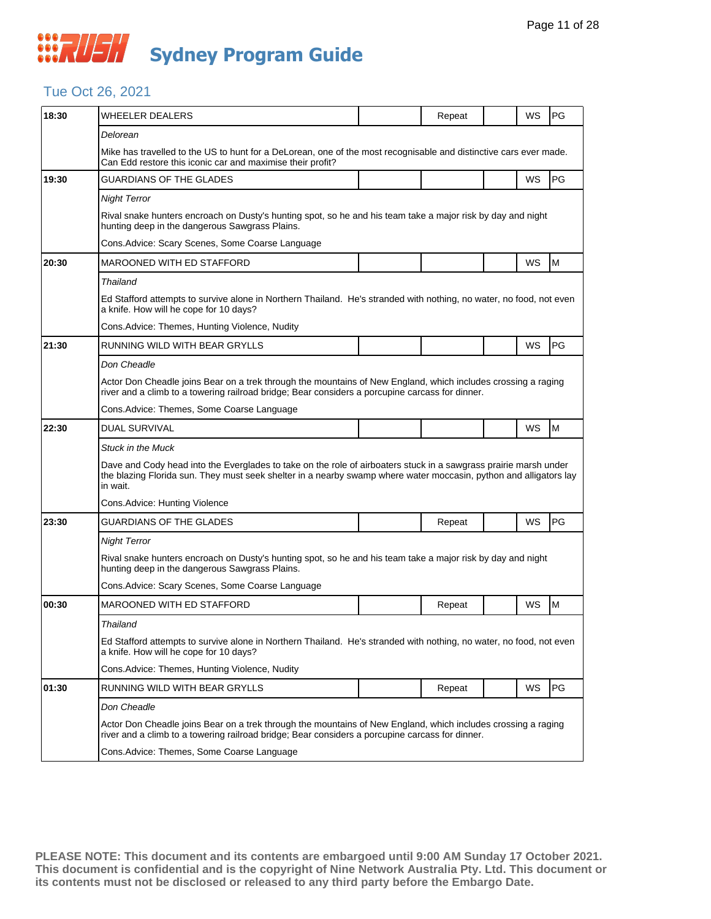## **WAUSH Sydney Program Guide**

## Tue Oct 26, 2021

| 18:30 | WHEELER DEALERS                                                                                                                                                                                                                                   |  | Repeat | WS | PG |  |  |  |  |
|-------|---------------------------------------------------------------------------------------------------------------------------------------------------------------------------------------------------------------------------------------------------|--|--------|----|----|--|--|--|--|
|       | Delorean                                                                                                                                                                                                                                          |  |        |    |    |  |  |  |  |
|       | Mike has travelled to the US to hunt for a DeLorean, one of the most recognisable and distinctive cars ever made.<br>Can Edd restore this iconic car and maximise their profit?                                                                   |  |        |    |    |  |  |  |  |
| 19:30 | GUARDIANS OF THE GLADES                                                                                                                                                                                                                           |  |        | WS | PG |  |  |  |  |
|       | <b>Night Terror</b>                                                                                                                                                                                                                               |  |        |    |    |  |  |  |  |
|       | Rival snake hunters encroach on Dusty's hunting spot, so he and his team take a major risk by day and night<br>hunting deep in the dangerous Sawgrass Plains.                                                                                     |  |        |    |    |  |  |  |  |
|       | Cons.Advice: Scary Scenes, Some Coarse Language                                                                                                                                                                                                   |  |        |    |    |  |  |  |  |
| 20:30 | MAROONED WITH ED STAFFORD                                                                                                                                                                                                                         |  |        | WS | M  |  |  |  |  |
|       | <b>Thailand</b>                                                                                                                                                                                                                                   |  |        |    |    |  |  |  |  |
|       | Ed Stafford attempts to survive alone in Northern Thailand. He's stranded with nothing, no water, no food, not even<br>a knife. How will he cope for 10 days?                                                                                     |  |        |    |    |  |  |  |  |
|       | Cons.Advice: Themes, Hunting Violence, Nudity                                                                                                                                                                                                     |  |        |    |    |  |  |  |  |
| 21:30 | RUNNING WILD WITH BEAR GRYLLS                                                                                                                                                                                                                     |  |        | WS | PG |  |  |  |  |
|       | Don Cheadle                                                                                                                                                                                                                                       |  |        |    |    |  |  |  |  |
|       | Actor Don Cheadle joins Bear on a trek through the mountains of New England, which includes crossing a raging<br>river and a climb to a towering railroad bridge; Bear considers a porcupine carcass for dinner.                                  |  |        |    |    |  |  |  |  |
|       | Cons. Advice: Themes, Some Coarse Language                                                                                                                                                                                                        |  |        |    |    |  |  |  |  |
| 22:30 | <b>DUAL SURVIVAL</b>                                                                                                                                                                                                                              |  |        | WS | M  |  |  |  |  |
|       | <b>Stuck in the Muck</b>                                                                                                                                                                                                                          |  |        |    |    |  |  |  |  |
|       | Dave and Cody head into the Everglades to take on the role of airboaters stuck in a sawgrass prairie marsh under<br>the blazing Florida sun. They must seek shelter in a nearby swamp where water moccasin, python and alligators lay<br>in wait. |  |        |    |    |  |  |  |  |
|       | Cons.Advice: Hunting Violence                                                                                                                                                                                                                     |  |        |    |    |  |  |  |  |
| 23:30 | GUARDIANS OF THE GLADES                                                                                                                                                                                                                           |  | Repeat | WS | PG |  |  |  |  |
|       | <b>Night Terror</b>                                                                                                                                                                                                                               |  |        |    |    |  |  |  |  |
|       | Rival snake hunters encroach on Dusty's hunting spot, so he and his team take a major risk by day and night<br>hunting deep in the dangerous Sawgrass Plains.                                                                                     |  |        |    |    |  |  |  |  |
|       | Cons.Advice: Scary Scenes, Some Coarse Language                                                                                                                                                                                                   |  |        |    |    |  |  |  |  |
| 00:30 | <b>MAROONED WITH ED STAFFORD</b>                                                                                                                                                                                                                  |  | Repeat | ws | M  |  |  |  |  |
|       | Thailand                                                                                                                                                                                                                                          |  |        |    |    |  |  |  |  |
|       | Ed Stafford attempts to survive alone in Northern Thailand. He's stranded with nothing, no water, no food, not even<br>a knife. How will he cope for 10 days?                                                                                     |  |        |    |    |  |  |  |  |
|       | Cons.Advice: Themes, Hunting Violence, Nudity                                                                                                                                                                                                     |  |        |    |    |  |  |  |  |
| 01:30 | RUNNING WILD WITH BEAR GRYLLS                                                                                                                                                                                                                     |  | Repeat | WS | PG |  |  |  |  |
|       | Don Cheadle                                                                                                                                                                                                                                       |  |        |    |    |  |  |  |  |
|       | Actor Don Cheadle joins Bear on a trek through the mountains of New England, which includes crossing a raging<br>river and a climb to a towering railroad bridge; Bear considers a porcupine carcass for dinner.                                  |  |        |    |    |  |  |  |  |
|       | Cons. Advice: Themes, Some Coarse Language                                                                                                                                                                                                        |  |        |    |    |  |  |  |  |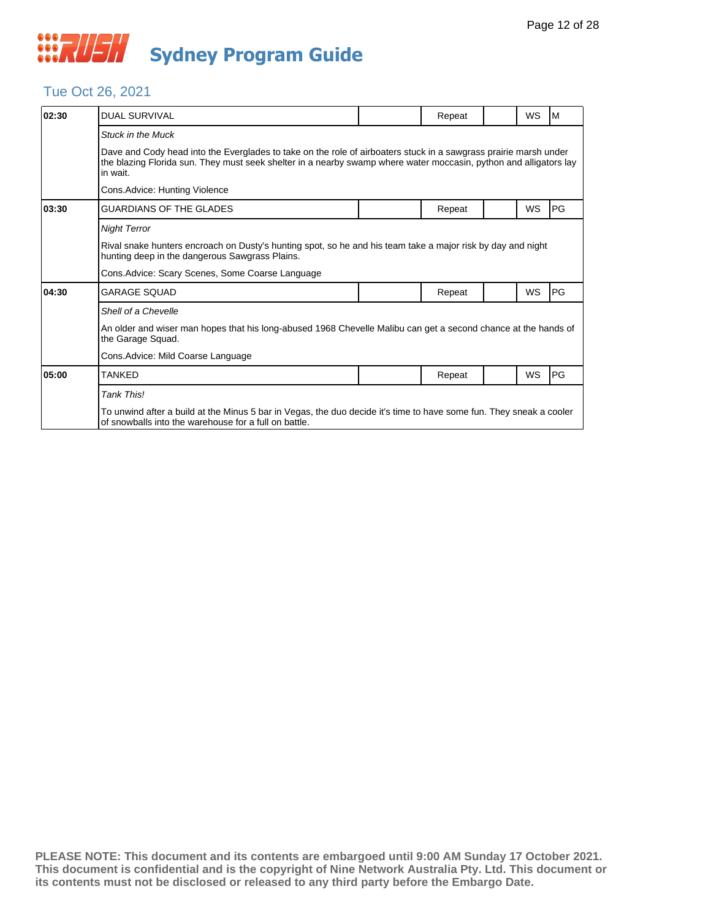## Tue Oct 26, 2021

| 02:30 | <b>DUAL SURVIVAL</b>                                                                                                                                                                                                                              |  | Repeat |  | WS        | M  |  |  |  |
|-------|---------------------------------------------------------------------------------------------------------------------------------------------------------------------------------------------------------------------------------------------------|--|--------|--|-----------|----|--|--|--|
|       | <b>Stuck in the Muck</b>                                                                                                                                                                                                                          |  |        |  |           |    |  |  |  |
|       | Dave and Cody head into the Everglades to take on the role of airboaters stuck in a sawgrass prairie marsh under<br>the blazing Florida sun. They must seek shelter in a nearby swamp where water moccasin, python and alligators lay<br>in wait. |  |        |  |           |    |  |  |  |
|       | Cons.Advice: Hunting Violence                                                                                                                                                                                                                     |  |        |  |           |    |  |  |  |
| 03:30 | GUARDIANS OF THE GLADES                                                                                                                                                                                                                           |  | Repeat |  | WS        | PG |  |  |  |
|       | <b>Night Terror</b>                                                                                                                                                                                                                               |  |        |  |           |    |  |  |  |
|       | Rival snake hunters encroach on Dusty's hunting spot, so he and his team take a major risk by day and night<br>hunting deep in the dangerous Sawgrass Plains.                                                                                     |  |        |  |           |    |  |  |  |
|       | Cons.Advice: Scary Scenes, Some Coarse Language                                                                                                                                                                                                   |  |        |  |           |    |  |  |  |
| 04:30 | GARAGE SQUAD                                                                                                                                                                                                                                      |  | Repeat |  | <b>WS</b> | PG |  |  |  |
|       | Shell of a Chevelle                                                                                                                                                                                                                               |  |        |  |           |    |  |  |  |
|       | An older and wiser man hopes that his long-abused 1968 Chevelle Malibu can get a second chance at the hands of<br>the Garage Squad.                                                                                                               |  |        |  |           |    |  |  |  |
|       | Cons.Advice: Mild Coarse Language                                                                                                                                                                                                                 |  |        |  |           |    |  |  |  |
| 05:00 | TANKED                                                                                                                                                                                                                                            |  | Repeat |  | WS        | PG |  |  |  |
|       | Tank This!                                                                                                                                                                                                                                        |  |        |  |           |    |  |  |  |
|       | To unwind after a build at the Minus 5 bar in Vegas, the duo decide it's time to have some fun. They sneak a cooler<br>of snowballs into the warehouse for a full on battle.                                                                      |  |        |  |           |    |  |  |  |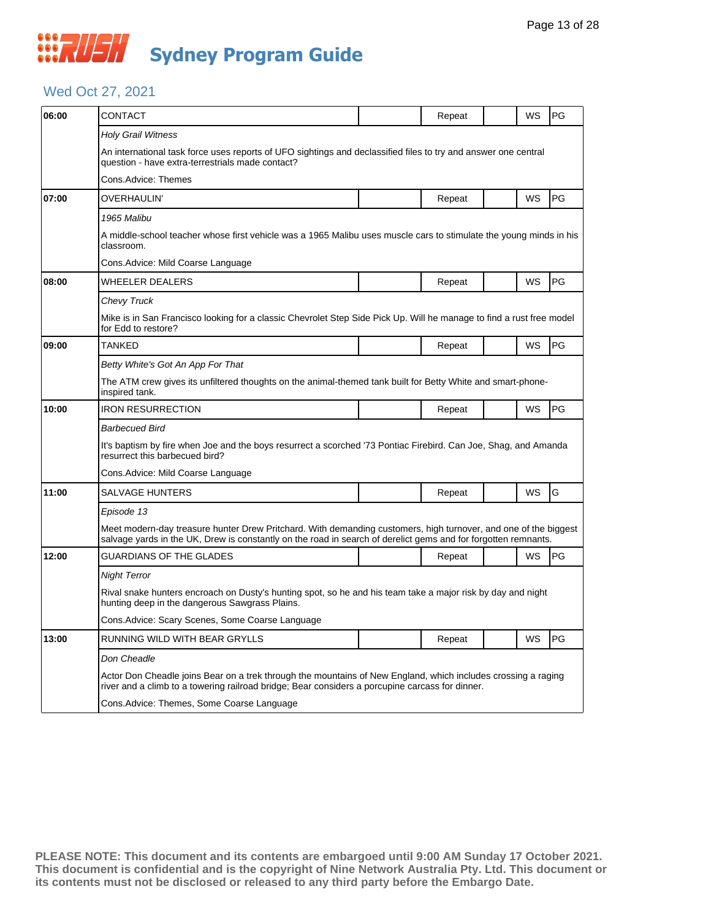## Wed Oct 27, 2021

| 06:00 | CONTACT                                                                                                                                                                                                                           |  | Repeat |  | WS | PG |  |  |  |
|-------|-----------------------------------------------------------------------------------------------------------------------------------------------------------------------------------------------------------------------------------|--|--------|--|----|----|--|--|--|
|       | Holy Grail Witness                                                                                                                                                                                                                |  |        |  |    |    |  |  |  |
|       | An international task force uses reports of UFO sightings and declassified files to try and answer one central<br>question - have extra-terrestrials made contact?                                                                |  |        |  |    |    |  |  |  |
|       | Cons.Advice: Themes                                                                                                                                                                                                               |  |        |  |    |    |  |  |  |
| 07:00 | OVERHAULIN'                                                                                                                                                                                                                       |  | Repeat |  | WS | PG |  |  |  |
|       | 1965 Malibu                                                                                                                                                                                                                       |  |        |  |    |    |  |  |  |
|       | A middle-school teacher whose first vehicle was a 1965 Malibu uses muscle cars to stimulate the young minds in his<br>classroom.                                                                                                  |  |        |  |    |    |  |  |  |
|       | Cons.Advice: Mild Coarse Language                                                                                                                                                                                                 |  |        |  |    |    |  |  |  |
| 08:00 | WHEELER DEALERS                                                                                                                                                                                                                   |  | Repeat |  | WS | PG |  |  |  |
|       | Chevy Truck                                                                                                                                                                                                                       |  |        |  |    |    |  |  |  |
|       | Mike is in San Francisco looking for a classic Chevrolet Step Side Pick Up. Will he manage to find a rust free model<br>for Edd to restore?                                                                                       |  |        |  |    |    |  |  |  |
| 09:00 | <b>TANKED</b>                                                                                                                                                                                                                     |  | Repeat |  | WS | PG |  |  |  |
|       | Betty White's Got An App For That                                                                                                                                                                                                 |  |        |  |    |    |  |  |  |
|       | The ATM crew gives its unfiltered thoughts on the animal-themed tank built for Betty White and smart-phone-<br>inspired tank.                                                                                                     |  |        |  |    |    |  |  |  |
| 10:00 | <b>IRON RESURRECTION</b>                                                                                                                                                                                                          |  | Repeat |  | WS | PG |  |  |  |
|       | Barbecued Bird                                                                                                                                                                                                                    |  |        |  |    |    |  |  |  |
|       | It's baptism by fire when Joe and the boys resurrect a scorched '73 Pontiac Firebird. Can Joe, Shag, and Amanda<br>resurrect this barbecued bird?                                                                                 |  |        |  |    |    |  |  |  |
|       | Cons.Advice: Mild Coarse Language                                                                                                                                                                                                 |  |        |  |    |    |  |  |  |
| 11:00 | SALVAGE HUNTERS                                                                                                                                                                                                                   |  | Repeat |  | WS | G  |  |  |  |
|       | Episode 13                                                                                                                                                                                                                        |  |        |  |    |    |  |  |  |
|       | Meet modern-day treasure hunter Drew Pritchard. With demanding customers, high turnover, and one of the biggest<br>salvage yards in the UK, Drew is constantly on the road in search of derelict gems and for forgotten remnants. |  |        |  |    |    |  |  |  |
| 12:00 | GUARDIANS OF THE GLADES                                                                                                                                                                                                           |  | Repeat |  | WS | PG |  |  |  |
|       | Night Terror                                                                                                                                                                                                                      |  |        |  |    |    |  |  |  |
|       | Rival snake hunters encroach on Dusty's hunting spot, so he and his team take a major risk by day and night<br>hunting deep in the dangerous Sawgrass Plains.                                                                     |  |        |  |    |    |  |  |  |
|       | Cons.Advice: Scary Scenes, Some Coarse Language                                                                                                                                                                                   |  |        |  |    |    |  |  |  |
| 13:00 | RUNNING WILD WITH BEAR GRYLLS                                                                                                                                                                                                     |  | Repeat |  | WS | PG |  |  |  |
|       | Don Cheadle                                                                                                                                                                                                                       |  |        |  |    |    |  |  |  |
|       | Actor Don Cheadle joins Bear on a trek through the mountains of New England, which includes crossing a raging<br>river and a climb to a towering railroad bridge; Bear considers a porcupine carcass for dinner.                  |  |        |  |    |    |  |  |  |
|       | Cons.Advice: Themes, Some Coarse Language                                                                                                                                                                                         |  |        |  |    |    |  |  |  |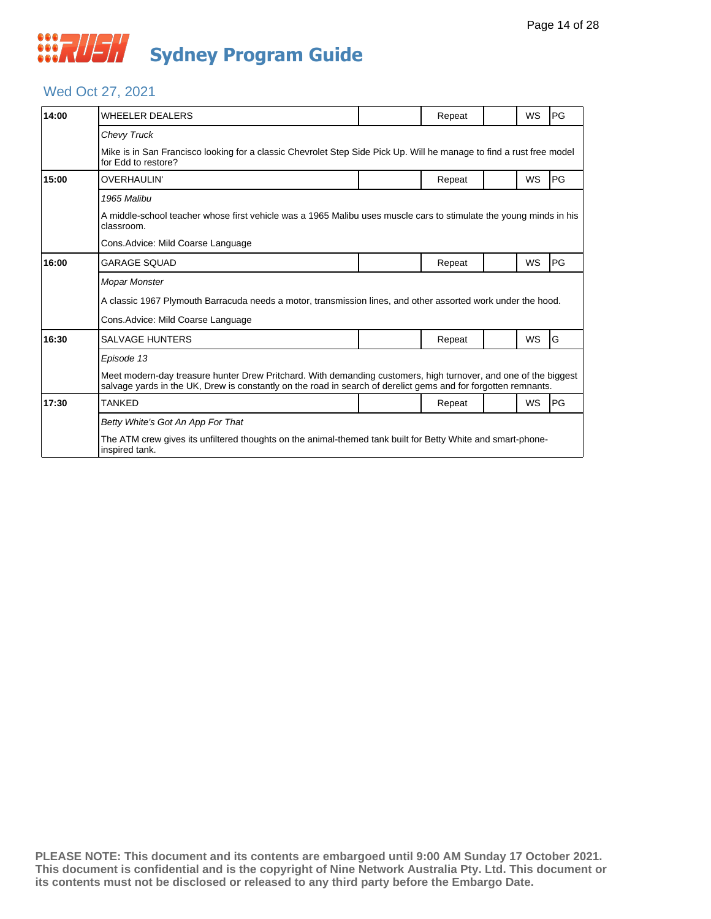## *CONSTRUSH* **Sydney Program Guide**

## Wed Oct 27, 2021

| 14:00 | <b>WHEELER DEALERS</b>                                                                                                                                                                                                            |  | Repeat |  | WS        | <b>PG</b> |  |  |  |
|-------|-----------------------------------------------------------------------------------------------------------------------------------------------------------------------------------------------------------------------------------|--|--------|--|-----------|-----------|--|--|--|
|       | <b>Chevy Truck</b>                                                                                                                                                                                                                |  |        |  |           |           |  |  |  |
|       | Mike is in San Francisco looking for a classic Chevrolet Step Side Pick Up. Will he manage to find a rust free model<br>for Edd to restore?                                                                                       |  |        |  |           |           |  |  |  |
| 15:00 | <b>OVERHAULIN'</b>                                                                                                                                                                                                                |  | Repeat |  | <b>WS</b> | <b>PG</b> |  |  |  |
|       | 1965 Malibu                                                                                                                                                                                                                       |  |        |  |           |           |  |  |  |
|       | A middle-school teacher whose first vehicle was a 1965 Malibu uses muscle cars to stimulate the young minds in his<br>classroom.                                                                                                  |  |        |  |           |           |  |  |  |
|       | Cons.Advice: Mild Coarse Language                                                                                                                                                                                                 |  |        |  |           |           |  |  |  |
| 16:00 | <b>GARAGE SOUAD</b>                                                                                                                                                                                                               |  | Repeat |  | <b>WS</b> | <b>PG</b> |  |  |  |
|       | <b>Mopar Monster</b>                                                                                                                                                                                                              |  |        |  |           |           |  |  |  |
|       | A classic 1967 Plymouth Barracuda needs a motor, transmission lines, and other assorted work under the hood.                                                                                                                      |  |        |  |           |           |  |  |  |
|       | Cons. Advice: Mild Coarse Language                                                                                                                                                                                                |  |        |  |           |           |  |  |  |
| 16:30 | <b>SALVAGE HUNTERS</b>                                                                                                                                                                                                            |  | Repeat |  | WS        | G         |  |  |  |
|       | Episode 13                                                                                                                                                                                                                        |  |        |  |           |           |  |  |  |
|       | Meet modern-day treasure hunter Drew Pritchard. With demanding customers, high turnover, and one of the biggest<br>salvage yards in the UK, Drew is constantly on the road in search of derelict gems and for forgotten remnants. |  |        |  |           |           |  |  |  |
| 17:30 | <b>TANKED</b>                                                                                                                                                                                                                     |  | Repeat |  | <b>WS</b> | <b>PG</b> |  |  |  |
|       | Betty White's Got An App For That                                                                                                                                                                                                 |  |        |  |           |           |  |  |  |
|       | The ATM crew gives its unfiltered thoughts on the animal-themed tank built for Betty White and smart-phone-<br>inspired tank.                                                                                                     |  |        |  |           |           |  |  |  |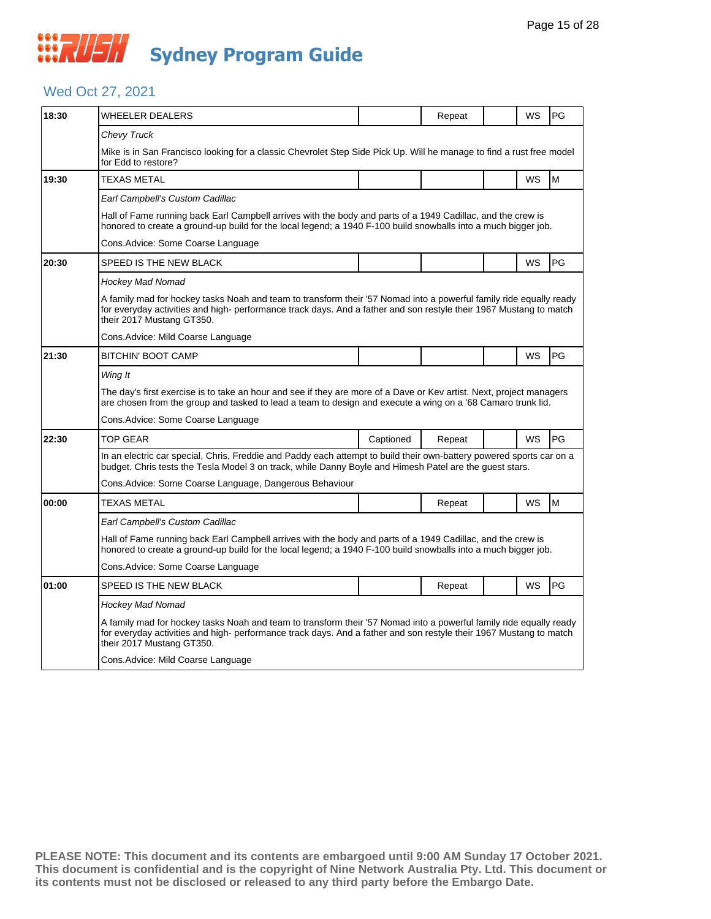## *CONSTRUSH* **Sydney Program Guide**

## Wed Oct 27, 2021

| 18:30 | WHEELER DEALERS                                                                                                                                                                                                                                                      |           | Repeat |  | WS        | <b>PG</b> |  |  |  |
|-------|----------------------------------------------------------------------------------------------------------------------------------------------------------------------------------------------------------------------------------------------------------------------|-----------|--------|--|-----------|-----------|--|--|--|
|       | Chevy Truck                                                                                                                                                                                                                                                          |           |        |  |           |           |  |  |  |
|       | Mike is in San Francisco looking for a classic Chevrolet Step Side Pick Up. Will he manage to find a rust free model<br>for Edd to restore?                                                                                                                          |           |        |  |           |           |  |  |  |
| 19:30 | <b>TEXAS METAL</b>                                                                                                                                                                                                                                                   |           |        |  | <b>WS</b> | M         |  |  |  |
|       | Earl Campbell's Custom Cadillac                                                                                                                                                                                                                                      |           |        |  |           |           |  |  |  |
|       | Hall of Fame running back Earl Campbell arrives with the body and parts of a 1949 Cadillac, and the crew is<br>honored to create a ground-up build for the local legend; a 1940 F-100 build snowballs into a much bigger job.                                        |           |        |  |           |           |  |  |  |
|       | Cons.Advice: Some Coarse Language                                                                                                                                                                                                                                    |           |        |  |           |           |  |  |  |
| 20:30 | SPEED IS THE NEW BLACK                                                                                                                                                                                                                                               |           |        |  | <b>WS</b> | <b>PG</b> |  |  |  |
|       | Hockey Mad Nomad                                                                                                                                                                                                                                                     |           |        |  |           |           |  |  |  |
|       | A family mad for hockey tasks Noah and team to transform their '57 Nomad into a powerful family ride equally ready<br>for everyday activities and high-performance track days. And a father and son restyle their 1967 Mustang to match<br>their 2017 Mustang GT350. |           |        |  |           |           |  |  |  |
|       | Cons. Advice: Mild Coarse Language                                                                                                                                                                                                                                   |           |        |  |           |           |  |  |  |
| 21:30 | BITCHIN' BOOT CAMP                                                                                                                                                                                                                                                   |           |        |  | WS        | <b>PG</b> |  |  |  |
|       | Wing It                                                                                                                                                                                                                                                              |           |        |  |           |           |  |  |  |
|       | The day's first exercise is to take an hour and see if they are more of a Dave or Kev artist. Next, project managers<br>are chosen from the group and tasked to lead a team to design and execute a wing on a '68 Camaro trunk lid.                                  |           |        |  |           |           |  |  |  |
|       | Cons.Advice: Some Coarse Language                                                                                                                                                                                                                                    |           |        |  |           |           |  |  |  |
| 22:30 | TOP GEAR                                                                                                                                                                                                                                                             | Captioned | Repeat |  | WS        | PG        |  |  |  |
|       | In an electric car special, Chris, Freddie and Paddy each attempt to build their own-battery powered sports car on a<br>budget. Chris tests the Tesla Model 3 on track, while Danny Boyle and Himesh Patel are the guest stars.                                      |           |        |  |           |           |  |  |  |
|       | Cons.Advice: Some Coarse Language, Dangerous Behaviour                                                                                                                                                                                                               |           |        |  |           |           |  |  |  |
| 00:00 | <b>TEXAS METAL</b>                                                                                                                                                                                                                                                   |           | Repeat |  | <b>WS</b> | M         |  |  |  |
|       | Earl Campbell's Custom Cadillac                                                                                                                                                                                                                                      |           |        |  |           |           |  |  |  |
|       | Hall of Fame running back Earl Campbell arrives with the body and parts of a 1949 Cadillac, and the crew is<br>honored to create a ground-up build for the local legend; a 1940 F-100 build snowballs into a much bigger job.                                        |           |        |  |           |           |  |  |  |
|       | Cons.Advice: Some Coarse Language                                                                                                                                                                                                                                    |           |        |  |           |           |  |  |  |
| 01:00 | SPEED IS THE NEW BLACK                                                                                                                                                                                                                                               |           | Repeat |  | <b>WS</b> | PG        |  |  |  |
|       | Hockey Mad Nomad                                                                                                                                                                                                                                                     |           |        |  |           |           |  |  |  |
|       | A family mad for hockey tasks Noah and team to transform their '57 Nomad into a powerful family ride equally ready<br>for everyday activities and high-performance track days. And a father and son restyle their 1967 Mustang to match<br>their 2017 Mustang GT350. |           |        |  |           |           |  |  |  |
|       | Cons.Advice: Mild Coarse Language                                                                                                                                                                                                                                    |           |        |  |           |           |  |  |  |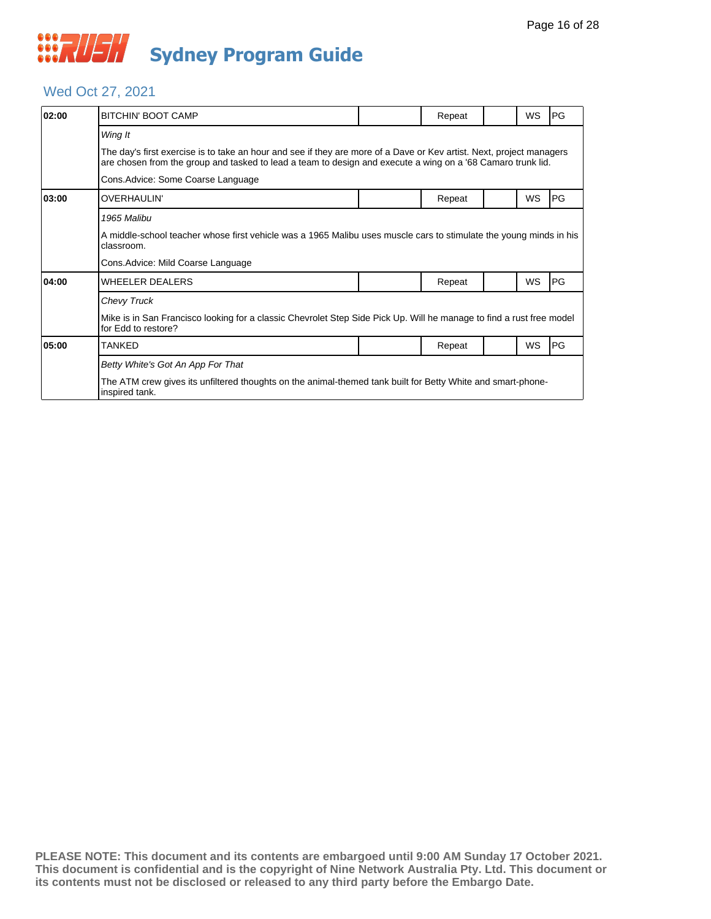

## Wed Oct 27, 2021

| 02:00 | <b>BITCHIN' BOOT CAMP</b>                                                                                                                                                                                                           |  | Repeat |  | <b>WS</b> | PG         |  |  |  |
|-------|-------------------------------------------------------------------------------------------------------------------------------------------------------------------------------------------------------------------------------------|--|--------|--|-----------|------------|--|--|--|
|       | Wing It                                                                                                                                                                                                                             |  |        |  |           |            |  |  |  |
|       | The day's first exercise is to take an hour and see if they are more of a Dave or Kev artist. Next, project managers<br>are chosen from the group and tasked to lead a team to design and execute a wing on a '68 Camaro trunk lid. |  |        |  |           |            |  |  |  |
|       | Cons. Advice: Some Coarse Language                                                                                                                                                                                                  |  |        |  |           |            |  |  |  |
| 03:00 | <b>OVERHAULIN'</b>                                                                                                                                                                                                                  |  | Repeat |  | WS        | <b>IPG</b> |  |  |  |
|       | 1965 Malibu                                                                                                                                                                                                                         |  |        |  |           |            |  |  |  |
|       | A middle-school teacher whose first vehicle was a 1965 Malibu uses muscle cars to stimulate the young minds in his<br>classroom.                                                                                                    |  |        |  |           |            |  |  |  |
|       | Cons.Advice: Mild Coarse Language                                                                                                                                                                                                   |  |        |  |           |            |  |  |  |
| 04:00 | <b>WHEELER DEALERS</b>                                                                                                                                                                                                              |  | Repeat |  | WS        | <b>PG</b>  |  |  |  |
|       | Chevy Truck                                                                                                                                                                                                                         |  |        |  |           |            |  |  |  |
|       | Mike is in San Francisco looking for a classic Chevrolet Step Side Pick Up. Will he manage to find a rust free model<br>for Edd to restore?                                                                                         |  |        |  |           |            |  |  |  |
| 05:00 | <b>TANKED</b>                                                                                                                                                                                                                       |  | Repeat |  | WS        | <b>PG</b>  |  |  |  |
|       | Betty White's Got An App For That                                                                                                                                                                                                   |  |        |  |           |            |  |  |  |
|       | The ATM crew gives its unfiltered thoughts on the animal-themed tank built for Betty White and smart-phone-<br>inspired tank.                                                                                                       |  |        |  |           |            |  |  |  |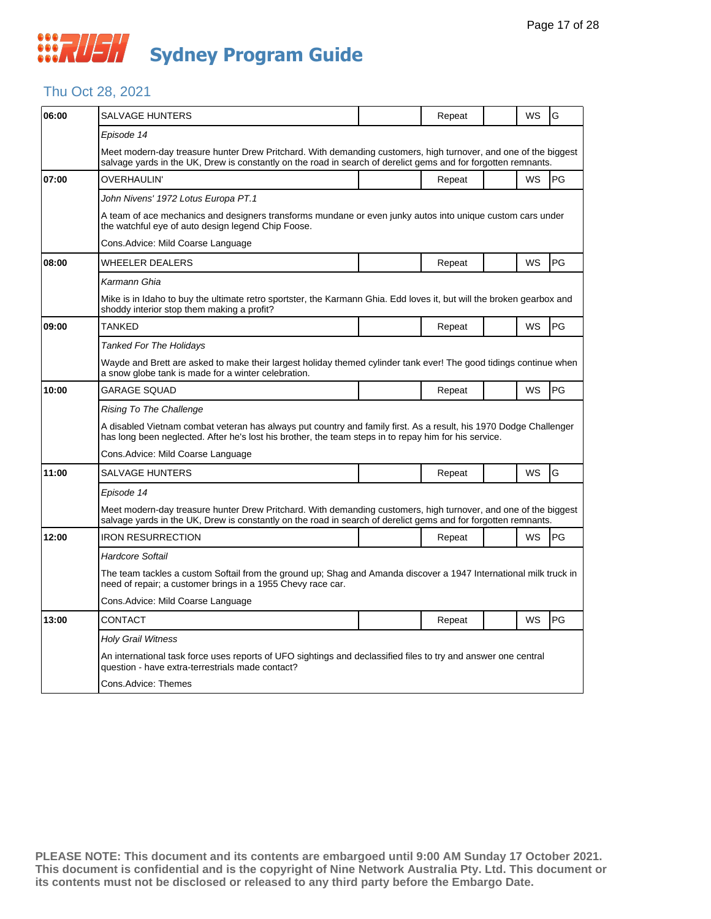

## Thu Oct 28, 2021

| 06:00 | SALVAGE HUNTERS                                                                                                                                                                                                                   |  | Repeat |  | WS        | G  |  |  |
|-------|-----------------------------------------------------------------------------------------------------------------------------------------------------------------------------------------------------------------------------------|--|--------|--|-----------|----|--|--|
|       | Episode 14                                                                                                                                                                                                                        |  |        |  |           |    |  |  |
|       | Meet modern-day treasure hunter Drew Pritchard. With demanding customers, high turnover, and one of the biggest<br>salvage yards in the UK, Drew is constantly on the road in search of derelict gems and for forgotten remnants. |  |        |  |           |    |  |  |
| 07:00 | OVERHAULIN'                                                                                                                                                                                                                       |  | Repeat |  | WS        | PG |  |  |
|       | John Nivens' 1972 Lotus Europa PT.1                                                                                                                                                                                               |  |        |  |           |    |  |  |
|       | A team of ace mechanics and designers transforms mundane or even junky autos into unique custom cars under<br>the watchful eye of auto design legend Chip Foose.                                                                  |  |        |  |           |    |  |  |
|       | Cons.Advice: Mild Coarse Language                                                                                                                                                                                                 |  |        |  |           |    |  |  |
| 08:00 | WHEELER DEALERS                                                                                                                                                                                                                   |  | Repeat |  | WS        | PG |  |  |
|       | Karmann Ghia                                                                                                                                                                                                                      |  |        |  |           |    |  |  |
|       | Mike is in Idaho to buy the ultimate retro sportster, the Karmann Ghia. Edd loves it, but will the broken gearbox and<br>shoddy interior stop them making a profit?                                                               |  |        |  |           |    |  |  |
| 09:00 | TANKED                                                                                                                                                                                                                            |  | Repeat |  | <b>WS</b> | PG |  |  |
|       | Tanked For The Holidays                                                                                                                                                                                                           |  |        |  |           |    |  |  |
|       | Wayde and Brett are asked to make their largest holiday themed cylinder tank ever! The good tidings continue when<br>a snow globe tank is made for a winter celebration.                                                          |  |        |  |           |    |  |  |
| 10:00 | <b>GARAGE SQUAD</b>                                                                                                                                                                                                               |  | Repeat |  | WS        | PG |  |  |
|       | Rising To The Challenge                                                                                                                                                                                                           |  |        |  |           |    |  |  |
|       | A disabled Vietnam combat veteran has always put country and family first. As a result, his 1970 Dodge Challenger<br>has long been neglected. After he's lost his brother, the team steps in to repay him for his service.        |  |        |  |           |    |  |  |
|       | Cons.Advice: Mild Coarse Language                                                                                                                                                                                                 |  |        |  |           |    |  |  |
| 11:00 | <b>SALVAGE HUNTERS</b>                                                                                                                                                                                                            |  | Repeat |  | WS        | G  |  |  |
|       | Episode 14                                                                                                                                                                                                                        |  |        |  |           |    |  |  |
|       | Meet modern-day treasure hunter Drew Pritchard. With demanding customers, high turnover, and one of the biggest<br>salvage yards in the UK, Drew is constantly on the road in search of derelict gems and for forgotten remnants. |  |        |  |           |    |  |  |
| 12:00 | <b>IRON RESURRECTION</b>                                                                                                                                                                                                          |  | Repeat |  | WS        | PG |  |  |
|       | Hardcore Softail                                                                                                                                                                                                                  |  |        |  |           |    |  |  |
|       | The team tackles a custom Softail from the ground up; Shag and Amanda discover a 1947 International milk truck in<br>need of repair; a customer brings in a 1955 Chevy race car.                                                  |  |        |  |           |    |  |  |
|       | Cons.Advice: Mild Coarse Language                                                                                                                                                                                                 |  |        |  |           |    |  |  |
| 13:00 | CONTACT                                                                                                                                                                                                                           |  | Repeat |  | WS        | PG |  |  |
|       | <b>Holy Grail Witness</b>                                                                                                                                                                                                         |  |        |  |           |    |  |  |
|       |                                                                                                                                                                                                                                   |  |        |  |           |    |  |  |
|       | An international task force uses reports of UFO sightings and declassified files to try and answer one central<br>question - have extra-terrestrials made contact?                                                                |  |        |  |           |    |  |  |
|       | Cons.Advice: Themes                                                                                                                                                                                                               |  |        |  |           |    |  |  |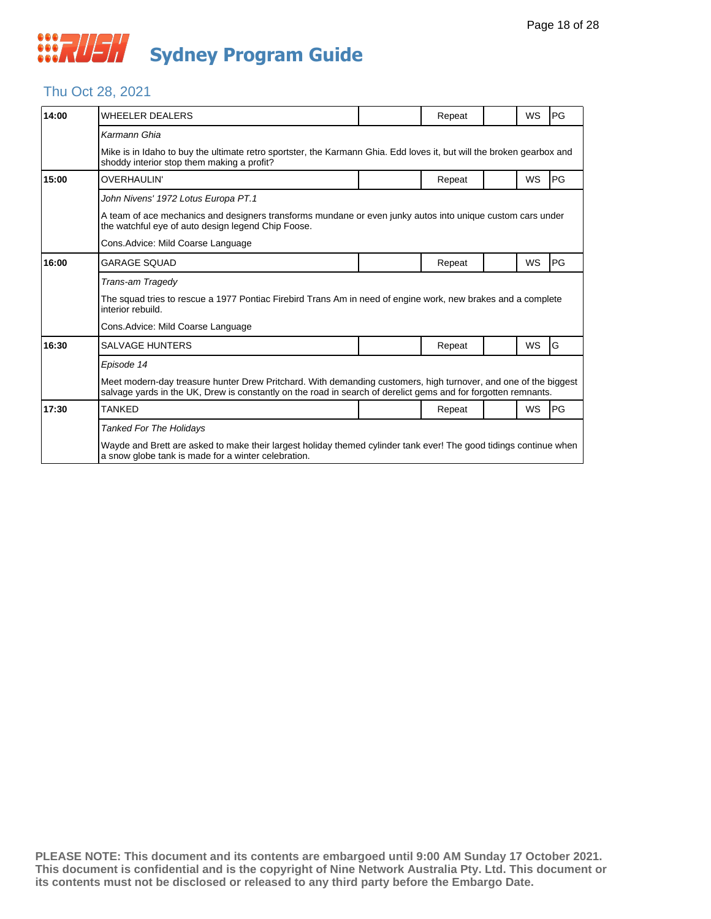## Thu Oct 28, 2021

| 14:00 | <b>WHEELER DEALERS</b>                                                                                                                                                                                                            |  | Repeat |  | WS        | PG |  |  |
|-------|-----------------------------------------------------------------------------------------------------------------------------------------------------------------------------------------------------------------------------------|--|--------|--|-----------|----|--|--|
|       | Karmann Ghia                                                                                                                                                                                                                      |  |        |  |           |    |  |  |
|       | Mike is in Idaho to buy the ultimate retro sportster, the Karmann Ghia. Edd loves it, but will the broken gearbox and<br>shoddy interior stop them making a profit?                                                               |  |        |  |           |    |  |  |
| 15:00 | <b>OVERHAULIN'</b>                                                                                                                                                                                                                |  | Repeat |  | WS        | PG |  |  |
|       | John Nivens' 1972 Lotus Europa PT.1                                                                                                                                                                                               |  |        |  |           |    |  |  |
|       | A team of ace mechanics and designers transforms mundane or even junky autos into unique custom cars under<br>the watchful eye of auto design legend Chip Foose.                                                                  |  |        |  |           |    |  |  |
|       | Cons. Advice: Mild Coarse Language                                                                                                                                                                                                |  |        |  |           |    |  |  |
| 16:00 | <b>GARAGE SOUAD</b>                                                                                                                                                                                                               |  | Repeat |  | WS        | PG |  |  |
|       | Trans-am Tragedy                                                                                                                                                                                                                  |  |        |  |           |    |  |  |
|       | The squad tries to rescue a 1977 Pontiac Firebird Trans Am in need of engine work, new brakes and a complete<br>interior rebuild.                                                                                                 |  |        |  |           |    |  |  |
|       | Cons. Advice: Mild Coarse Language                                                                                                                                                                                                |  |        |  |           |    |  |  |
| 16:30 | <b>SALVAGE HUNTERS</b>                                                                                                                                                                                                            |  | Repeat |  | <b>WS</b> | G  |  |  |
|       | Episode 14                                                                                                                                                                                                                        |  |        |  |           |    |  |  |
|       | Meet modern-day treasure hunter Drew Pritchard. With demanding customers, high turnover, and one of the biggest<br>salvage yards in the UK, Drew is constantly on the road in search of derelict gems and for forgotten remnants. |  |        |  |           |    |  |  |
| 17:30 | <b>TANKED</b>                                                                                                                                                                                                                     |  | Repeat |  | <b>WS</b> | PG |  |  |
|       | <b>Tanked For The Holidays</b>                                                                                                                                                                                                    |  |        |  |           |    |  |  |
|       | Wayde and Brett are asked to make their largest holiday themed cylinder tank ever! The good tidings continue when<br>a snow globe tank is made for a winter celebration.                                                          |  |        |  |           |    |  |  |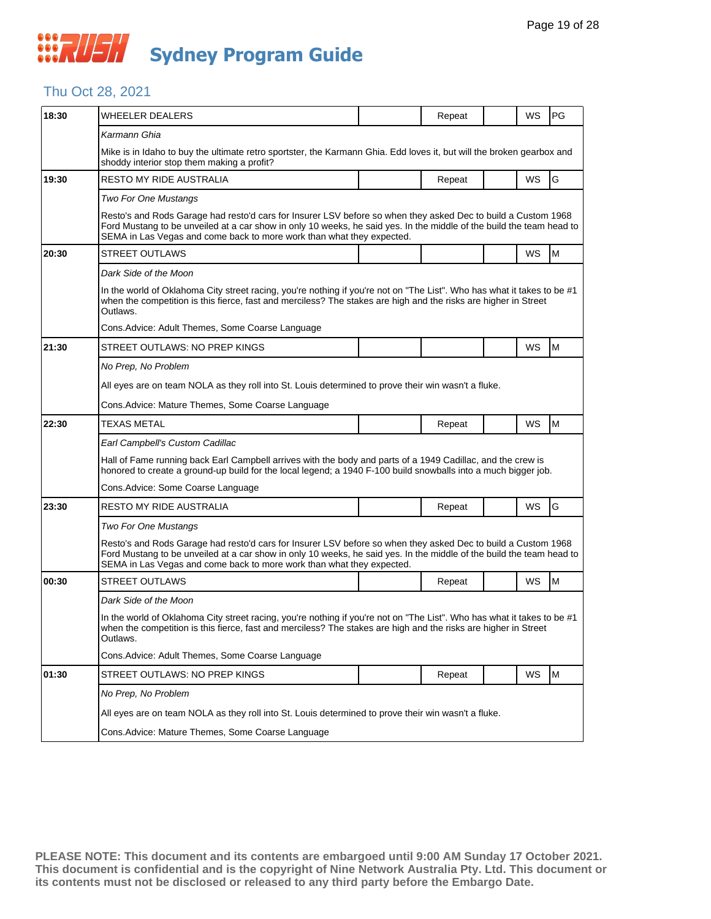## **WAUSH Sydney Program Guide**

## Thu Oct 28, 2021

| 18:30 | WHEELER DEALERS                                                                                                                                                                                                                                                                                                |  | Repeat |  | WS        | PG |  |  |  |
|-------|----------------------------------------------------------------------------------------------------------------------------------------------------------------------------------------------------------------------------------------------------------------------------------------------------------------|--|--------|--|-----------|----|--|--|--|
|       | Karmann Ghia                                                                                                                                                                                                                                                                                                   |  |        |  |           |    |  |  |  |
|       | Mike is in Idaho to buy the ultimate retro sportster, the Karmann Ghia. Edd loves it, but will the broken gearbox and<br>shoddy interior stop them making a profit?                                                                                                                                            |  |        |  |           |    |  |  |  |
| 19:30 | <b>RESTO MY RIDE AUSTRALIA</b>                                                                                                                                                                                                                                                                                 |  | Repeat |  | WS        | G  |  |  |  |
|       | <b>Two For One Mustangs</b>                                                                                                                                                                                                                                                                                    |  |        |  |           |    |  |  |  |
|       | Resto's and Rods Garage had resto'd cars for Insurer LSV before so when they asked Dec to build a Custom 1968<br>Ford Mustang to be unveiled at a car show in only 10 weeks, he said yes. In the middle of the build the team head to<br>SEMA in Las Vegas and come back to more work than what they expected. |  |        |  |           |    |  |  |  |
| 20:30 | <b>STREET OUTLAWS</b>                                                                                                                                                                                                                                                                                          |  |        |  | <b>WS</b> | M  |  |  |  |
|       | Dark Side of the Moon                                                                                                                                                                                                                                                                                          |  |        |  |           |    |  |  |  |
|       | In the world of Oklahoma City street racing, you're nothing if you're not on "The List". Who has what it takes to be #1<br>when the competition is this fierce, fast and merciless? The stakes are high and the risks are higher in Street<br>Outlaws.                                                         |  |        |  |           |    |  |  |  |
|       | Cons. Advice: Adult Themes, Some Coarse Language                                                                                                                                                                                                                                                               |  |        |  |           |    |  |  |  |
| 21:30 | STREET OUTLAWS: NO PREP KINGS                                                                                                                                                                                                                                                                                  |  |        |  | WS        | M  |  |  |  |
|       | No Prep, No Problem                                                                                                                                                                                                                                                                                            |  |        |  |           |    |  |  |  |
|       | All eyes are on team NOLA as they roll into St. Louis determined to prove their win wasn't a fluke.                                                                                                                                                                                                            |  |        |  |           |    |  |  |  |
|       | Cons. Advice: Mature Themes, Some Coarse Language                                                                                                                                                                                                                                                              |  |        |  |           |    |  |  |  |
| 22:30 | <b>TEXAS METAL</b>                                                                                                                                                                                                                                                                                             |  | Repeat |  | WS        | M  |  |  |  |
|       | Earl Campbell's Custom Cadillac                                                                                                                                                                                                                                                                                |  |        |  |           |    |  |  |  |
|       | Hall of Fame running back Earl Campbell arrives with the body and parts of a 1949 Cadillac, and the crew is<br>honored to create a ground-up build for the local legend; a 1940 F-100 build snowballs into a much bigger job.                                                                                  |  |        |  |           |    |  |  |  |
|       | Cons. Advice: Some Coarse Language                                                                                                                                                                                                                                                                             |  |        |  |           |    |  |  |  |
| 23:30 | <b>RESTO MY RIDE AUSTRALIA</b>                                                                                                                                                                                                                                                                                 |  | Repeat |  | WS        | G  |  |  |  |
|       | <b>Two For One Mustangs</b>                                                                                                                                                                                                                                                                                    |  |        |  |           |    |  |  |  |
|       | Resto's and Rods Garage had resto'd cars for Insurer LSV before so when they asked Dec to build a Custom 1968<br>Ford Mustang to be unveiled at a car show in only 10 weeks, he said yes. In the middle of the build the team head to<br>SEMA in Las Vegas and come back to more work than what they expected. |  |        |  |           |    |  |  |  |
| 00:30 | <b>STREET OUTLAWS</b>                                                                                                                                                                                                                                                                                          |  | Repeat |  | WS        | M  |  |  |  |
|       | Dark Side of the Moon                                                                                                                                                                                                                                                                                          |  |        |  |           |    |  |  |  |
|       | In the world of Oklahoma City street racing, you're nothing if you're not on "The List". Who has what it takes to be #1<br>when the competition is this fierce, fast and merciless? The stakes are high and the risks are higher in Street<br>Outlaws.                                                         |  |        |  |           |    |  |  |  |
|       | Cons. Advice: Adult Themes, Some Coarse Language                                                                                                                                                                                                                                                               |  |        |  |           |    |  |  |  |
| 01:30 | STREET OUTLAWS: NO PREP KINGS                                                                                                                                                                                                                                                                                  |  | Repeat |  | WS        | M  |  |  |  |
|       | No Prep, No Problem                                                                                                                                                                                                                                                                                            |  |        |  |           |    |  |  |  |
|       | All eyes are on team NOLA as they roll into St. Louis determined to prove their win wasn't a fluke.                                                                                                                                                                                                            |  |        |  |           |    |  |  |  |
|       | Cons. Advice: Mature Themes, Some Coarse Language                                                                                                                                                                                                                                                              |  |        |  |           |    |  |  |  |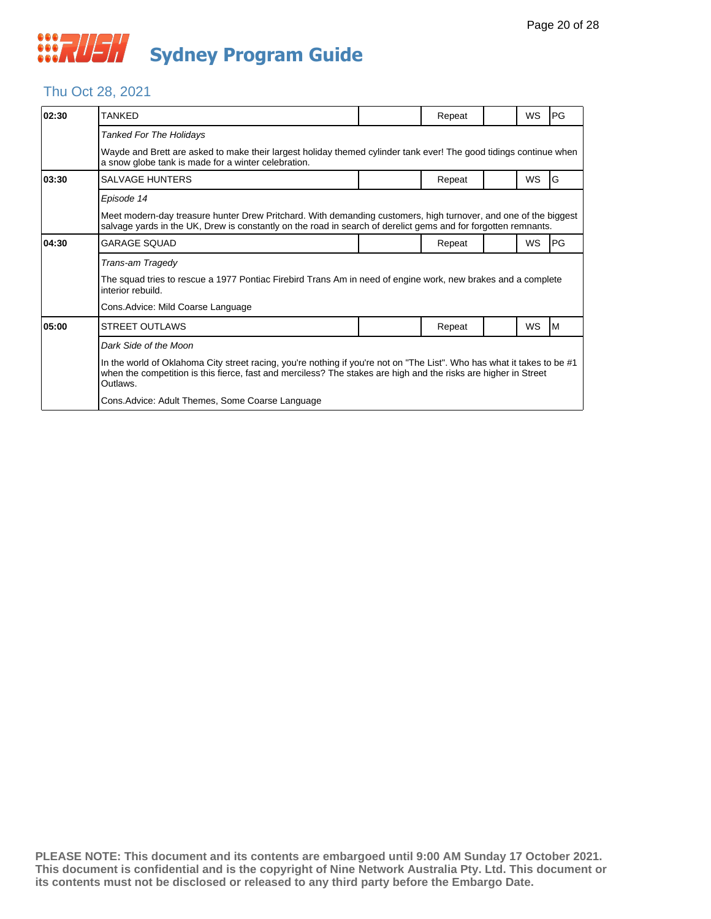## Thu Oct 28, 2021

| 02:30 | TANKED                                                                                                                                                                                                                                                 |  | Repeat |  | WS        | PG        |  |  |
|-------|--------------------------------------------------------------------------------------------------------------------------------------------------------------------------------------------------------------------------------------------------------|--|--------|--|-----------|-----------|--|--|
|       | Tanked For The Holidays                                                                                                                                                                                                                                |  |        |  |           |           |  |  |
|       | Wayde and Brett are asked to make their largest holiday themed cylinder tank ever! The good tidings continue when<br>a snow globe tank is made for a winter celebration.                                                                               |  |        |  |           |           |  |  |
| 03:30 | <b>SALVAGE HUNTERS</b>                                                                                                                                                                                                                                 |  | Repeat |  | <b>WS</b> | l G       |  |  |
|       | Episode 14                                                                                                                                                                                                                                             |  |        |  |           |           |  |  |
|       | Meet modern-day treasure hunter Drew Pritchard. With demanding customers, high turnover, and one of the biggest<br>salvage yards in the UK, Drew is constantly on the road in search of derelict gems and for forgotten remnants.                      |  |        |  |           |           |  |  |
| 04:30 | <b>GARAGE SOUAD</b>                                                                                                                                                                                                                                    |  | Repeat |  | <b>WS</b> | <b>PG</b> |  |  |
|       | Trans-am Tragedy                                                                                                                                                                                                                                       |  |        |  |           |           |  |  |
|       | The squad tries to rescue a 1977 Pontiac Firebird Trans Am in need of engine work, new brakes and a complete<br>interior rebuild.                                                                                                                      |  |        |  |           |           |  |  |
|       | Cons. Advice: Mild Coarse Language                                                                                                                                                                                                                     |  |        |  |           |           |  |  |
| 05:00 | <b>STREET OUTLAWS</b>                                                                                                                                                                                                                                  |  | Repeat |  | <b>WS</b> | IM.       |  |  |
|       | Dark Side of the Moon                                                                                                                                                                                                                                  |  |        |  |           |           |  |  |
|       | In the world of Oklahoma City street racing, you're nothing if you're not on "The List". Who has what it takes to be #1<br>when the competition is this fierce, fast and merciless? The stakes are high and the risks are higher in Street<br>Outlaws. |  |        |  |           |           |  |  |
|       | Cons. Advice: Adult Themes, Some Coarse Language                                                                                                                                                                                                       |  |        |  |           |           |  |  |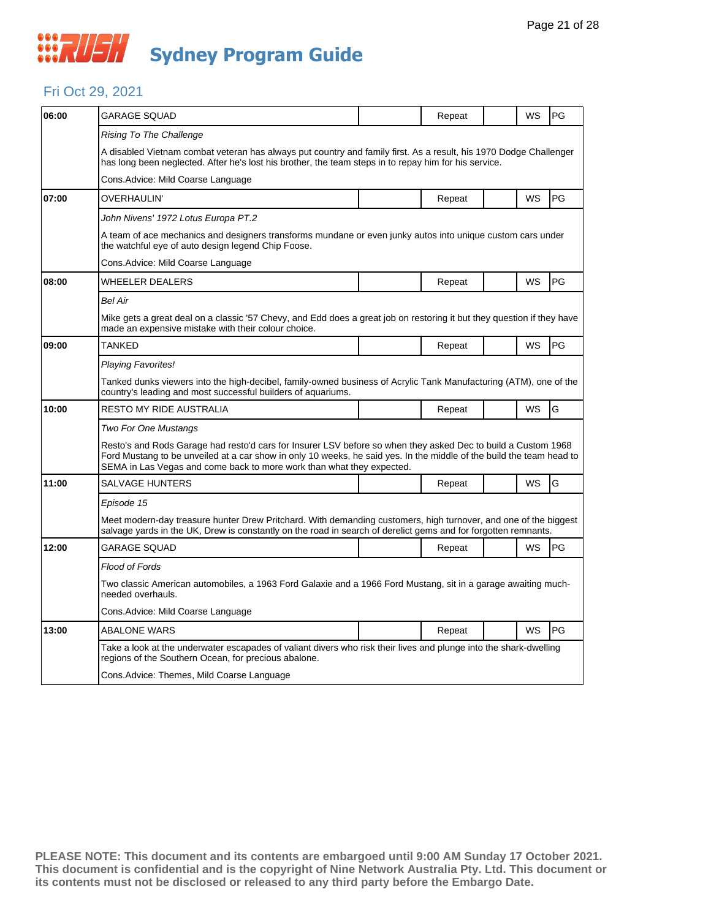#### Fri Oct 29, 2021

| 06:00 | GARAGE SQUAD                                                                                                                                                                                                                                                                                                   |  | Repeat |  | WS        | PG |  |  |
|-------|----------------------------------------------------------------------------------------------------------------------------------------------------------------------------------------------------------------------------------------------------------------------------------------------------------------|--|--------|--|-----------|----|--|--|
|       | Rising To The Challenge                                                                                                                                                                                                                                                                                        |  |        |  |           |    |  |  |
|       | A disabled Vietnam combat veteran has always put country and family first. As a result, his 1970 Dodge Challenger<br>has long been neglected. After he's lost his brother, the team steps in to repay him for his service.                                                                                     |  |        |  |           |    |  |  |
|       | Cons. Advice: Mild Coarse Language                                                                                                                                                                                                                                                                             |  |        |  |           |    |  |  |
| 07:00 | OVERHAULIN'                                                                                                                                                                                                                                                                                                    |  | Repeat |  | WS        | PG |  |  |
|       | John Nivens' 1972 Lotus Europa PT.2                                                                                                                                                                                                                                                                            |  |        |  |           |    |  |  |
|       | A team of ace mechanics and designers transforms mundane or even junky autos into unique custom cars under<br>the watchful eye of auto design legend Chip Foose.                                                                                                                                               |  |        |  |           |    |  |  |
|       | Cons. Advice: Mild Coarse Language                                                                                                                                                                                                                                                                             |  |        |  |           |    |  |  |
| 08:00 | <b>WHEELER DEALERS</b>                                                                                                                                                                                                                                                                                         |  | Repeat |  | WS        | PG |  |  |
|       | <b>Bel Air</b>                                                                                                                                                                                                                                                                                                 |  |        |  |           |    |  |  |
|       | Mike gets a great deal on a classic '57 Chevy, and Edd does a great job on restoring it but they question if they have<br>made an expensive mistake with their colour choice.                                                                                                                                  |  |        |  |           |    |  |  |
| 09:00 | TANKED                                                                                                                                                                                                                                                                                                         |  | Repeat |  | WS        | PG |  |  |
|       | <b>Playing Favorites!</b>                                                                                                                                                                                                                                                                                      |  |        |  |           |    |  |  |
|       | Tanked dunks viewers into the high-decibel, family-owned business of Acrylic Tank Manufacturing (ATM), one of the<br>country's leading and most successful builders of aquariums.                                                                                                                              |  |        |  |           |    |  |  |
| 10:00 | RESTO MY RIDE AUSTRALIA                                                                                                                                                                                                                                                                                        |  | Repeat |  | WS        | G  |  |  |
|       | Two For One Mustangs                                                                                                                                                                                                                                                                                           |  |        |  |           |    |  |  |
|       | Resto's and Rods Garage had resto'd cars for Insurer LSV before so when they asked Dec to build a Custom 1968<br>Ford Mustang to be unveiled at a car show in only 10 weeks, he said yes. In the middle of the build the team head to<br>SEMA in Las Vegas and come back to more work than what they expected. |  |        |  |           |    |  |  |
| 11:00 | <b>SALVAGE HUNTERS</b>                                                                                                                                                                                                                                                                                         |  | Repeat |  | WS        | G  |  |  |
|       | Episode 15                                                                                                                                                                                                                                                                                                     |  |        |  |           |    |  |  |
|       | Meet modern-day treasure hunter Drew Pritchard. With demanding customers, high turnover, and one of the biggest<br>salvage yards in the UK, Drew is constantly on the road in search of derelict gems and for forgotten remnants.                                                                              |  |        |  |           |    |  |  |
| 12:00 | <b>GARAGE SQUAD</b>                                                                                                                                                                                                                                                                                            |  | Repeat |  | WS        | PG |  |  |
|       | Flood of Fords                                                                                                                                                                                                                                                                                                 |  |        |  |           |    |  |  |
|       | Two classic American automobiles, a 1963 Ford Galaxie and a 1966 Ford Mustang, sit in a garage awaiting much-<br>needed overhauls.                                                                                                                                                                             |  |        |  |           |    |  |  |
|       | Cons.Advice: Mild Coarse Language                                                                                                                                                                                                                                                                              |  |        |  |           |    |  |  |
| 13:00 | <b>ABALONE WARS</b>                                                                                                                                                                                                                                                                                            |  | Repeat |  | <b>WS</b> | PG |  |  |
|       | Take a look at the underwater escapades of valiant divers who risk their lives and plunge into the shark-dwelling<br>regions of the Southern Ocean, for precious abalone.                                                                                                                                      |  |        |  |           |    |  |  |
|       | Cons.Advice: Themes, Mild Coarse Language                                                                                                                                                                                                                                                                      |  |        |  |           |    |  |  |
|       |                                                                                                                                                                                                                                                                                                                |  |        |  |           |    |  |  |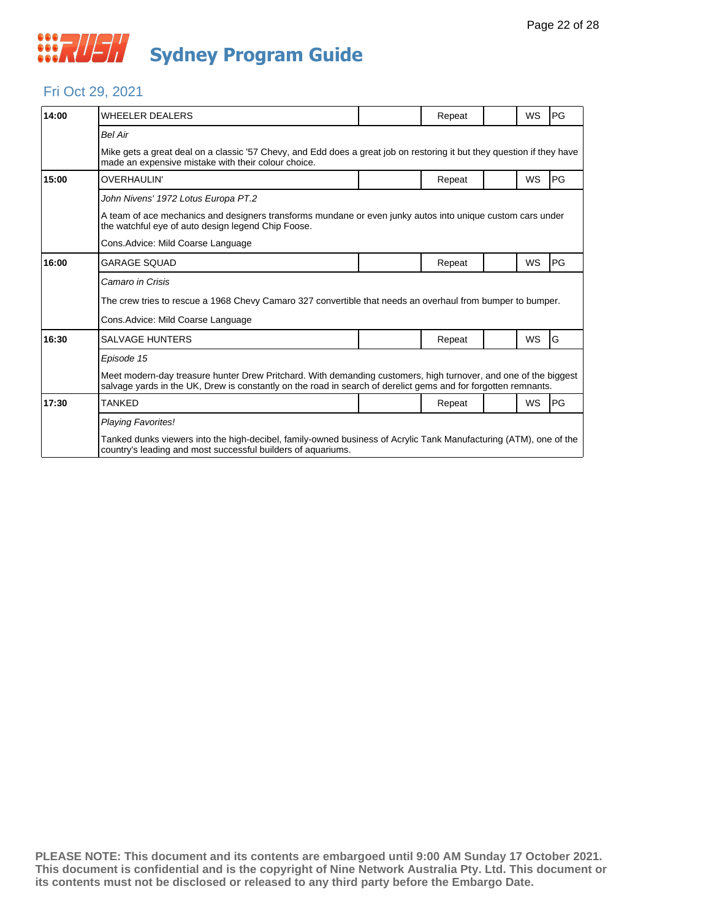

#### Fri Oct 29, 2021

| 14:00 | <b>WHEELER DEALERS</b>                                                                                                                                                                                                            |  | Repeat |  | WS        | PG |  |  |
|-------|-----------------------------------------------------------------------------------------------------------------------------------------------------------------------------------------------------------------------------------|--|--------|--|-----------|----|--|--|
|       | <b>Bel Air</b>                                                                                                                                                                                                                    |  |        |  |           |    |  |  |
|       | Mike gets a great deal on a classic '57 Chevy, and Edd does a great job on restoring it but they question if they have<br>made an expensive mistake with their colour choice.                                                     |  |        |  |           |    |  |  |
| 15:00 | <b>OVERHAULIN'</b>                                                                                                                                                                                                                |  | Repeat |  | WS        | PG |  |  |
|       | John Nivens' 1972 Lotus Europa PT.2                                                                                                                                                                                               |  |        |  |           |    |  |  |
|       | A team of ace mechanics and designers transforms mundane or even junky autos into unique custom cars under<br>the watchful eye of auto design legend Chip Foose.                                                                  |  |        |  |           |    |  |  |
|       | Cons. Advice: Mild Coarse Language                                                                                                                                                                                                |  |        |  |           |    |  |  |
| 16:00 | <b>GARAGE SOUAD</b>                                                                                                                                                                                                               |  | Repeat |  | WS        | PG |  |  |
|       | Camaro in Crisis                                                                                                                                                                                                                  |  |        |  |           |    |  |  |
|       | The crew tries to rescue a 1968 Chevy Camaro 327 convertible that needs an overhaul from bumper to bumper.                                                                                                                        |  |        |  |           |    |  |  |
|       | Cons. Advice: Mild Coarse Language                                                                                                                                                                                                |  |        |  |           |    |  |  |
| 16:30 | <b>SALVAGE HUNTERS</b>                                                                                                                                                                                                            |  | Repeat |  | WS        | G  |  |  |
|       | Episode 15                                                                                                                                                                                                                        |  |        |  |           |    |  |  |
|       | Meet modern-day treasure hunter Drew Pritchard. With demanding customers, high turnover, and one of the biggest<br>salvage yards in the UK, Drew is constantly on the road in search of derelict gems and for forgotten remnants. |  |        |  |           |    |  |  |
| 17:30 | <b>TANKFD</b>                                                                                                                                                                                                                     |  | Repeat |  | <b>WS</b> | PG |  |  |
|       | Playing Favorites!                                                                                                                                                                                                                |  |        |  |           |    |  |  |
|       | Tanked dunks viewers into the high-decibel, family-owned business of Acrylic Tank Manufacturing (ATM), one of the<br>country's leading and most successful builders of aquariums.                                                 |  |        |  |           |    |  |  |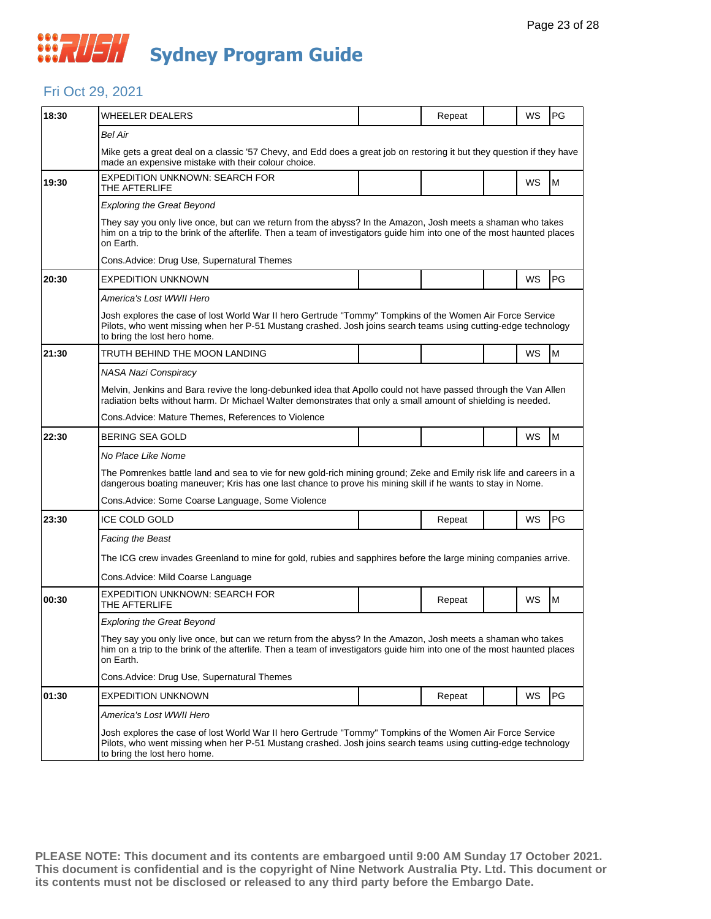

#### Fri Oct 29, 2021

| 18:30 | WHEELER DEALERS                                                                                                                                                                                                                                            |  | Repeat |  | WS        | PG |  |  |  |
|-------|------------------------------------------------------------------------------------------------------------------------------------------------------------------------------------------------------------------------------------------------------------|--|--------|--|-----------|----|--|--|--|
|       | <b>Bel Air</b>                                                                                                                                                                                                                                             |  |        |  |           |    |  |  |  |
|       | Mike gets a great deal on a classic '57 Chevy, and Edd does a great job on restoring it but they question if they have<br>made an expensive mistake with their colour choice.                                                                              |  |        |  |           |    |  |  |  |
| 19:30 | <b>EXPEDITION UNKNOWN: SEARCH FOR</b><br>THE AFTERLIFE                                                                                                                                                                                                     |  |        |  | WS        | M  |  |  |  |
|       | <b>Exploring the Great Beyond</b>                                                                                                                                                                                                                          |  |        |  |           |    |  |  |  |
|       | They say you only live once, but can we return from the abyss? In the Amazon, Josh meets a shaman who takes<br>him on a trip to the brink of the afterlife. Then a team of investigators guide him into one of the most haunted places<br>on Earth.        |  |        |  |           |    |  |  |  |
|       | Cons. Advice: Drug Use, Supernatural Themes                                                                                                                                                                                                                |  |        |  |           |    |  |  |  |
| 20:30 | EXPEDITION UNKNOWN                                                                                                                                                                                                                                         |  |        |  | WS        | PG |  |  |  |
|       | America's Lost WWII Hero                                                                                                                                                                                                                                   |  |        |  |           |    |  |  |  |
|       | Josh explores the case of lost World War II hero Gertrude "Tommy" Tompkins of the Women Air Force Service<br>Pilots, who went missing when her P-51 Mustang crashed. Josh joins search teams using cutting-edge technology<br>to bring the lost hero home. |  |        |  |           |    |  |  |  |
| 21:30 | TRUTH BEHIND THE MOON LANDING                                                                                                                                                                                                                              |  |        |  | WS        | M  |  |  |  |
|       | NASA Nazi Conspiracy                                                                                                                                                                                                                                       |  |        |  |           |    |  |  |  |
|       | Melvin, Jenkins and Bara revive the long-debunked idea that Apollo could not have passed through the Van Allen<br>radiation belts without harm. Dr Michael Walter demonstrates that only a small amount of shielding is needed.                            |  |        |  |           |    |  |  |  |
|       | Cons. Advice: Mature Themes, References to Violence                                                                                                                                                                                                        |  |        |  |           |    |  |  |  |
| 22:30 | BERING SEA GOLD                                                                                                                                                                                                                                            |  |        |  | WS        | M  |  |  |  |
|       | No Place Like Nome                                                                                                                                                                                                                                         |  |        |  |           |    |  |  |  |
|       | The Pomrenkes battle land and sea to vie for new gold-rich mining ground; Zeke and Emily risk life and careers in a<br>dangerous boating maneuver; Kris has one last chance to prove his mining skill if he wants to stay in Nome.                         |  |        |  |           |    |  |  |  |
|       | Cons. Advice: Some Coarse Language, Some Violence                                                                                                                                                                                                          |  |        |  |           |    |  |  |  |
| 23:30 | ICE COLD GOLD                                                                                                                                                                                                                                              |  | Repeat |  | <b>WS</b> | PG |  |  |  |
|       | <b>Facing the Beast</b>                                                                                                                                                                                                                                    |  |        |  |           |    |  |  |  |
|       | The ICG crew invades Greenland to mine for gold, rubies and sapphires before the large mining companies arrive.                                                                                                                                            |  |        |  |           |    |  |  |  |
|       | Cons. Advice: Mild Coarse Language                                                                                                                                                                                                                         |  |        |  |           |    |  |  |  |
| 00:30 | EXPEDITION UNKNOWN: SEARCH FOR<br>THE AFTERLIFE                                                                                                                                                                                                            |  | Repeat |  | WS        | M  |  |  |  |
|       | <b>Exploring the Great Beyond</b>                                                                                                                                                                                                                          |  |        |  |           |    |  |  |  |
|       | They say you only live once, but can we return from the abyss? In the Amazon, Josh meets a shaman who takes<br>him on a trip to the brink of the afterlife. Then a team of investigators guide him into one of the most haunted places<br>on Earth.        |  |        |  |           |    |  |  |  |
|       | Cons. Advice: Drug Use, Supernatural Themes                                                                                                                                                                                                                |  |        |  |           |    |  |  |  |
| 01:30 | EXPEDITION UNKNOWN                                                                                                                                                                                                                                         |  | Repeat |  | WS        | PG |  |  |  |
|       | America's Lost WWII Hero                                                                                                                                                                                                                                   |  |        |  |           |    |  |  |  |
|       | Josh explores the case of lost World War II hero Gertrude "Tommy" Tompkins of the Women Air Force Service<br>Pilots, who went missing when her P-51 Mustang crashed. Josh joins search teams using cutting-edge technology<br>to bring the lost hero home. |  |        |  |           |    |  |  |  |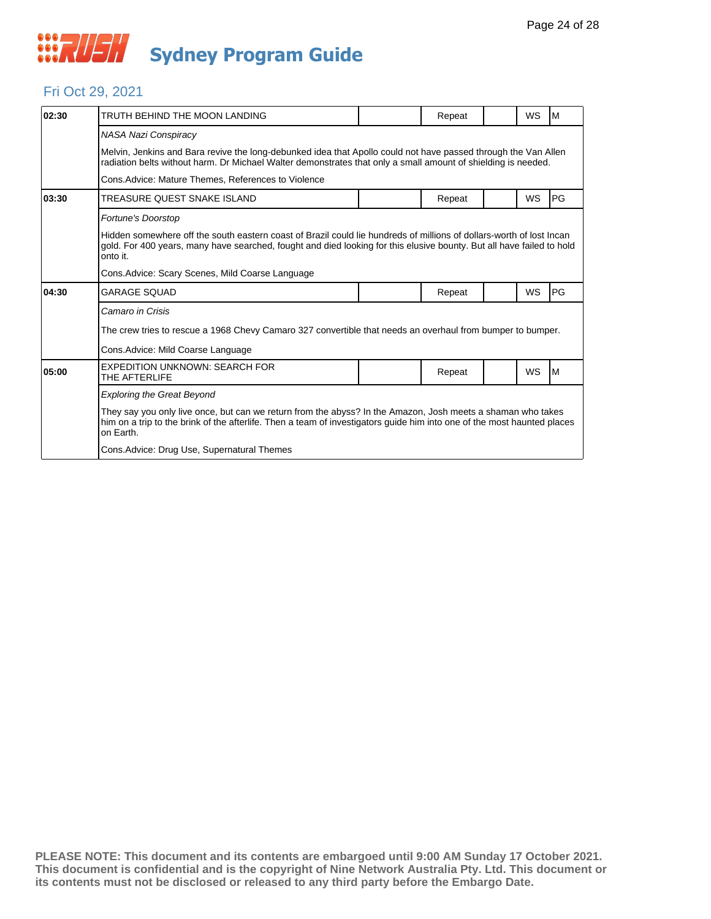

#### Fri Oct 29, 2021

| 02:30 | TRUTH BEHIND THE MOON LANDING                                                                                                                                                                                                                             |  | Repeat |  | WS        | M         |  |  |  |
|-------|-----------------------------------------------------------------------------------------------------------------------------------------------------------------------------------------------------------------------------------------------------------|--|--------|--|-----------|-----------|--|--|--|
|       | <b>NASA Nazi Conspiracy</b>                                                                                                                                                                                                                               |  |        |  |           |           |  |  |  |
|       | Melvin, Jenkins and Bara revive the long-debunked idea that Apollo could not have passed through the Van Allen<br>radiation belts without harm. Dr Michael Walter demonstrates that only a small amount of shielding is needed.                           |  |        |  |           |           |  |  |  |
|       | Cons. Advice: Mature Themes, References to Violence                                                                                                                                                                                                       |  |        |  |           |           |  |  |  |
| 03:30 | TREASURE QUEST SNAKE ISLAND                                                                                                                                                                                                                               |  | Repeat |  | <b>WS</b> | PG        |  |  |  |
|       | Fortune's Doorstop                                                                                                                                                                                                                                        |  |        |  |           |           |  |  |  |
|       | Hidden somewhere off the south eastern coast of Brazil could lie hundreds of millions of dollars-worth of lost Incan<br>gold. For 400 years, many have searched, fought and died looking for this elusive bounty. But all have failed to hold<br>onto it. |  |        |  |           |           |  |  |  |
|       | Cons. Advice: Scary Scenes, Mild Coarse Language                                                                                                                                                                                                          |  |        |  |           |           |  |  |  |
| 04:30 | <b>GARAGE SOUAD</b>                                                                                                                                                                                                                                       |  | Repeat |  | <b>WS</b> | <b>PG</b> |  |  |  |
|       | Camaro in Crisis                                                                                                                                                                                                                                          |  |        |  |           |           |  |  |  |
|       | The crew tries to rescue a 1968 Chevy Camaro 327 convertible that needs an overhaul from bumper to bumper.                                                                                                                                                |  |        |  |           |           |  |  |  |
|       | Cons. Advice: Mild Coarse Language                                                                                                                                                                                                                        |  |        |  |           |           |  |  |  |
| 05:00 | <b>EXPEDITION UNKNOWN: SEARCH FOR</b><br>THE AFTERLIFE                                                                                                                                                                                                    |  | Repeat |  | <b>WS</b> | M         |  |  |  |
|       | <b>Exploring the Great Beyond</b>                                                                                                                                                                                                                         |  |        |  |           |           |  |  |  |
|       | They say you only live once, but can we return from the abyss? In the Amazon, Josh meets a shaman who takes<br>him on a trip to the brink of the afterlife. Then a team of investigators guide him into one of the most haunted places<br>on Earth.       |  |        |  |           |           |  |  |  |
|       | Cons.Advice: Drug Use, Supernatural Themes                                                                                                                                                                                                                |  |        |  |           |           |  |  |  |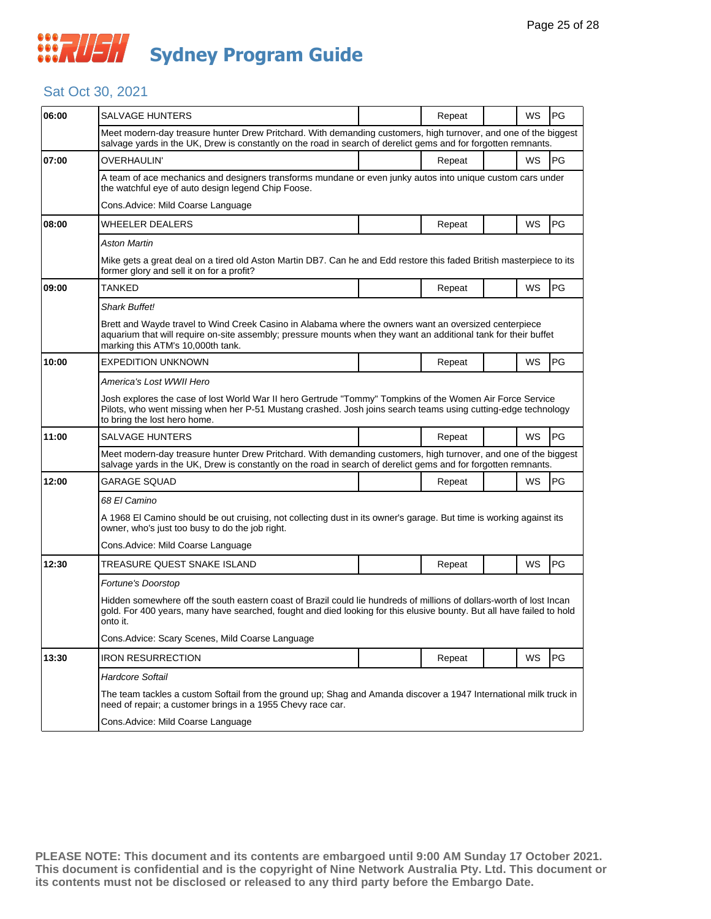## *CONSTRUSH* **Sydney Program Guide**

#### Sat Oct 30, 2021

| 06:00 | SALVAGE HUNTERS                                                                                                                                                                                                                                               |  | Repeat |  | WS        | <b>PG</b>  |  |  |
|-------|---------------------------------------------------------------------------------------------------------------------------------------------------------------------------------------------------------------------------------------------------------------|--|--------|--|-----------|------------|--|--|
|       | Meet modern-day treasure hunter Drew Pritchard. With demanding customers, high turnover, and one of the biggest<br>salvage yards in the UK, Drew is constantly on the road in search of derelict gems and for forgotten remnants.                             |  |        |  |           |            |  |  |
| 07:00 | OVERHAULIN'                                                                                                                                                                                                                                                   |  | Repeat |  | <b>WS</b> | PG         |  |  |
|       | A team of ace mechanics and designers transforms mundane or even junky autos into unique custom cars under<br>the watchful eye of auto design legend Chip Foose.                                                                                              |  |        |  |           |            |  |  |
|       | Cons.Advice: Mild Coarse Language                                                                                                                                                                                                                             |  |        |  |           |            |  |  |
| 08:00 | WHEELER DEALERS                                                                                                                                                                                                                                               |  | Repeat |  | WS        | <b>PG</b>  |  |  |
|       | Aston Martin                                                                                                                                                                                                                                                  |  |        |  |           |            |  |  |
|       | Mike gets a great deal on a tired old Aston Martin DB7. Can he and Edd restore this faded British masterpiece to its<br>former glory and sell it on for a profit?                                                                                             |  |        |  |           |            |  |  |
| 09:00 | TANKED                                                                                                                                                                                                                                                        |  | Repeat |  | WS        | <b>PG</b>  |  |  |
|       | <b>Shark Buffet!</b>                                                                                                                                                                                                                                          |  |        |  |           |            |  |  |
|       | Brett and Wayde travel to Wind Creek Casino in Alabama where the owners want an oversized centerpiece<br>aquarium that will require on-site assembly; pressure mounts when they want an additional tank for their buffet<br>marking this ATM's 10,000th tank. |  |        |  |           |            |  |  |
| 10:00 | <b>EXPEDITION UNKNOWN</b>                                                                                                                                                                                                                                     |  | Repeat |  | WS        | PG         |  |  |
|       | America's Lost WWII Hero                                                                                                                                                                                                                                      |  |        |  |           |            |  |  |
|       | Josh explores the case of lost World War II hero Gertrude "Tommy" Tompkins of the Women Air Force Service<br>Pilots, who went missing when her P-51 Mustang crashed. Josh joins search teams using cutting-edge technology<br>to bring the lost hero home.    |  |        |  |           |            |  |  |
| 11:00 | <b>SALVAGE HUNTERS</b>                                                                                                                                                                                                                                        |  | Repeat |  | <b>WS</b> | PG         |  |  |
|       | Meet modern-day treasure hunter Drew Pritchard. With demanding customers, high turnover, and one of the biggest<br>salvage yards in the UK, Drew is constantly on the road in search of derelict gems and for forgotten remnants.                             |  |        |  |           |            |  |  |
| 12:00 | GARAGE SQUAD                                                                                                                                                                                                                                                  |  | Repeat |  | WS        | PG         |  |  |
|       | 68 El Camino                                                                                                                                                                                                                                                  |  |        |  |           |            |  |  |
|       | A 1968 El Camino should be out cruising, not collecting dust in its owner's garage. But time is working against its<br>owner, who's just too busy to do the job right.                                                                                        |  |        |  |           |            |  |  |
|       | Cons. Advice: Mild Coarse Language                                                                                                                                                                                                                            |  |        |  |           |            |  |  |
| 12:30 | TREASURE QUEST SNAKE ISLAND                                                                                                                                                                                                                                   |  | Repeat |  | WS        | <b>IPG</b> |  |  |
|       | Fortune's Doorstop                                                                                                                                                                                                                                            |  |        |  |           |            |  |  |
|       | Hidden somewhere off the south eastern coast of Brazil could lie hundreds of millions of dollars-worth of lost Incan<br>gold. For 400 years, many have searched, fought and died looking for this elusive bounty. But all have failed to hold<br>onto it.     |  |        |  |           |            |  |  |
|       | Cons. Advice: Scary Scenes, Mild Coarse Language                                                                                                                                                                                                              |  |        |  |           |            |  |  |
| 13:30 | <b>IRON RESURRECTION</b>                                                                                                                                                                                                                                      |  | Repeat |  | <b>WS</b> | <b>PG</b>  |  |  |
|       | <b>Hardcore Softail</b>                                                                                                                                                                                                                                       |  |        |  |           |            |  |  |
|       | The team tackles a custom Softail from the ground up; Shag and Amanda discover a 1947 International milk truck in<br>need of repair; a customer brings in a 1955 Chevy race car.                                                                              |  |        |  |           |            |  |  |
|       | Cons. Advice: Mild Coarse Language                                                                                                                                                                                                                            |  |        |  |           |            |  |  |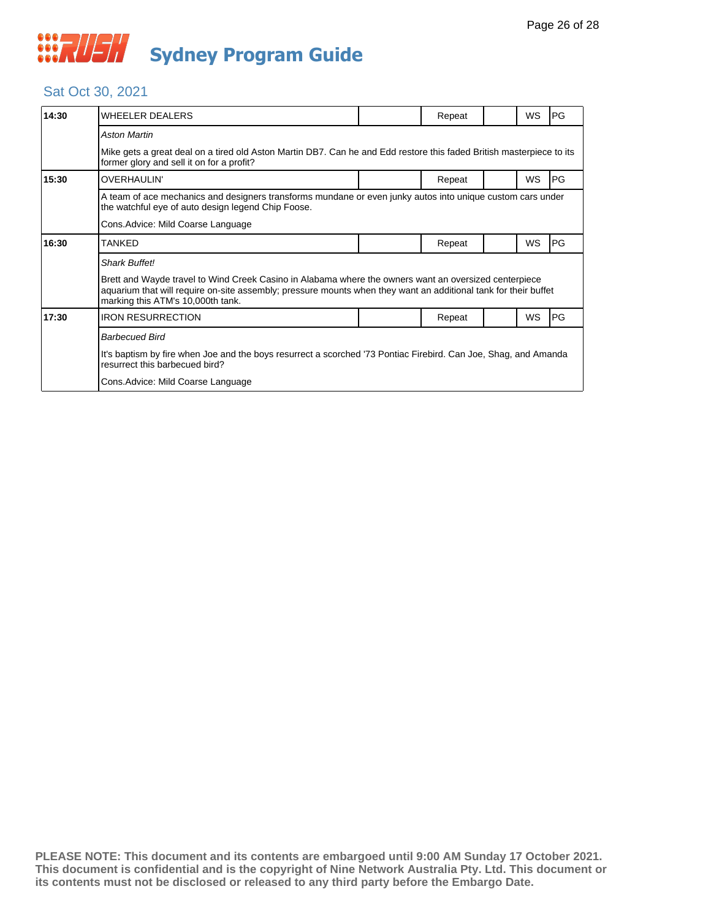

#### Sat Oct 30, 2021

| 14:30                              | <b>WHEELER DEALERS</b>                                                                                                                                                                                                                                        |  | Repeat |  | WS | PG |  |
|------------------------------------|---------------------------------------------------------------------------------------------------------------------------------------------------------------------------------------------------------------------------------------------------------------|--|--------|--|----|----|--|
|                                    | <b>Aston Martin</b>                                                                                                                                                                                                                                           |  |        |  |    |    |  |
|                                    | Mike gets a great deal on a tired old Aston Martin DB7. Can he and Edd restore this faded British masterpiece to its<br>former glory and sell it on for a profit?                                                                                             |  |        |  |    |    |  |
| 15:30                              | OVERHAULIN'                                                                                                                                                                                                                                                   |  | Repeat |  | WS | PG |  |
|                                    | A team of ace mechanics and designers transforms mundane or even junky autos into unique custom cars under<br>the watchful eye of auto design legend Chip Foose.                                                                                              |  |        |  |    |    |  |
| Cons. Advice: Mild Coarse Language |                                                                                                                                                                                                                                                               |  |        |  |    |    |  |
| 16:30                              | <b>TANKED</b>                                                                                                                                                                                                                                                 |  | Repeat |  | WS | PG |  |
|                                    | <b>Shark Buffet!</b>                                                                                                                                                                                                                                          |  |        |  |    |    |  |
|                                    | Brett and Wayde travel to Wind Creek Casino in Alabama where the owners want an oversized centerpiece<br>aquarium that will require on-site assembly; pressure mounts when they want an additional tank for their buffet<br>marking this ATM's 10,000th tank. |  |        |  |    |    |  |
| 17:30                              | <b>IRON RESURRECTION</b>                                                                                                                                                                                                                                      |  | Repeat |  | WS | PG |  |
|                                    | <b>Barbecued Bird</b>                                                                                                                                                                                                                                         |  |        |  |    |    |  |
|                                    | It's baptism by fire when Joe and the boys resurrect a scorched '73 Pontiac Firebird. Can Joe, Shag, and Amanda<br>resurrect this barbecued bird?                                                                                                             |  |        |  |    |    |  |
|                                    | Cons. Advice: Mild Coarse Language                                                                                                                                                                                                                            |  |        |  |    |    |  |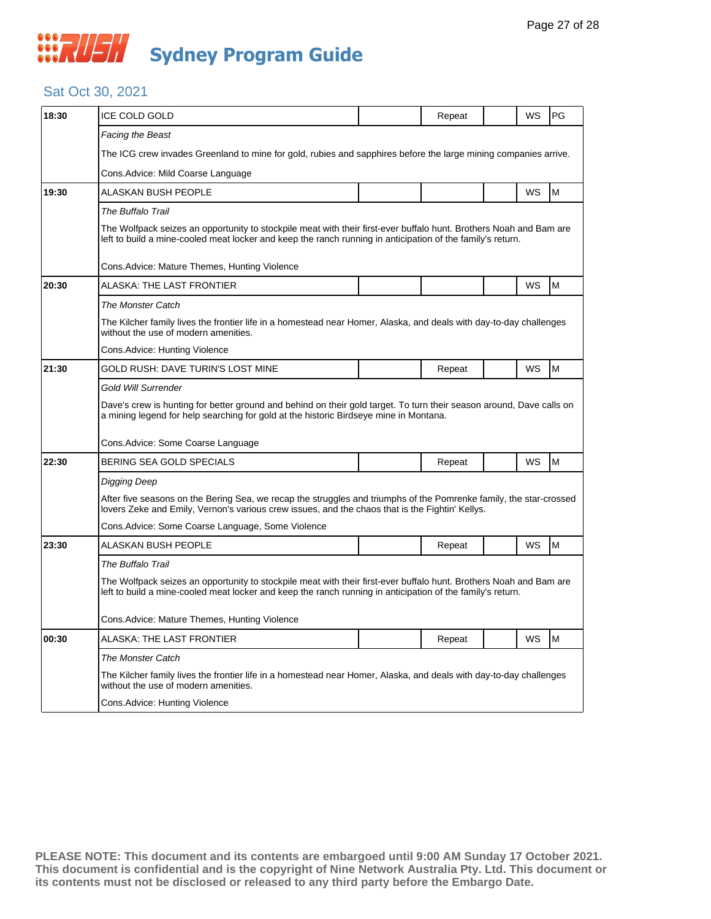## **WAUSH Sydney Program Guide**

#### Sat Oct 30, 2021

| 18:30 | ICE COLD GOLD                                                                                                                                                                                                                    |  | Repeat |  | WS        | PG |  |  |
|-------|----------------------------------------------------------------------------------------------------------------------------------------------------------------------------------------------------------------------------------|--|--------|--|-----------|----|--|--|
|       | Facing the Beast                                                                                                                                                                                                                 |  |        |  |           |    |  |  |
|       | The ICG crew invades Greenland to mine for gold, rubies and sapphires before the large mining companies arrive.                                                                                                                  |  |        |  |           |    |  |  |
|       | Cons.Advice: Mild Coarse Language                                                                                                                                                                                                |  |        |  |           |    |  |  |
| 19:30 | ALASKAN BUSH PEOPLE                                                                                                                                                                                                              |  |        |  | WS        | M  |  |  |
|       | The Buffalo Trail                                                                                                                                                                                                                |  |        |  |           |    |  |  |
|       | The Wolfpack seizes an opportunity to stockpile meat with their first-ever buffalo hunt. Brothers Noah and Bam are<br>left to build a mine-cooled meat locker and keep the ranch running in anticipation of the family's return. |  |        |  |           |    |  |  |
|       | Cons.Advice: Mature Themes, Hunting Violence                                                                                                                                                                                     |  |        |  |           |    |  |  |
| 20:30 | <b>ALASKA: THE LAST FRONTIER</b>                                                                                                                                                                                                 |  |        |  | WS        | M  |  |  |
|       | <b>The Monster Catch</b>                                                                                                                                                                                                         |  |        |  |           |    |  |  |
|       | The Kilcher family lives the frontier life in a homestead near Homer, Alaska, and deals with day-to-day challenges<br>without the use of modern amenities.                                                                       |  |        |  |           |    |  |  |
|       | Cons.Advice: Hunting Violence                                                                                                                                                                                                    |  |        |  |           |    |  |  |
| 21:30 | GOLD RUSH: DAVE TURIN'S LOST MINE                                                                                                                                                                                                |  | Repeat |  | WS        | M  |  |  |
|       | Gold Will Surrender                                                                                                                                                                                                              |  |        |  |           |    |  |  |
|       | Dave's crew is hunting for better ground and behind on their gold target. To turn their season around, Dave calls on<br>a mining legend for help searching for gold at the historic Birdseye mine in Montana.                    |  |        |  |           |    |  |  |
|       | Cons.Advice: Some Coarse Language                                                                                                                                                                                                |  |        |  |           |    |  |  |
| 22:30 | BERING SEA GOLD SPECIALS                                                                                                                                                                                                         |  | Repeat |  | <b>WS</b> | M  |  |  |
|       | Digging Deep                                                                                                                                                                                                                     |  |        |  |           |    |  |  |
|       | After five seasons on the Bering Sea, we recap the struggles and triumphs of the Pomrenke family, the star-crossed<br>lovers Zeke and Emily, Vernon's various crew issues, and the chaos that is the Fightin' Kellys.            |  |        |  |           |    |  |  |
|       | Cons.Advice: Some Coarse Language, Some Violence                                                                                                                                                                                 |  |        |  |           |    |  |  |
| 23:30 | ALASKAN BUSH PEOPLE                                                                                                                                                                                                              |  | Repeat |  | WS        | M  |  |  |
|       | The Buffalo Trail                                                                                                                                                                                                                |  |        |  |           |    |  |  |
|       | The Wolfpack seizes an opportunity to stockpile meat with their first-ever buffalo hunt. Brothers Noah and Bam are<br>left to build a mine-cooled meat locker and keep the ranch running in anticipation of the family's return. |  |        |  |           |    |  |  |
|       | Cons.Advice: Mature Themes, Hunting Violence                                                                                                                                                                                     |  |        |  |           |    |  |  |
| 00:30 | ALASKA: THE LAST FRONTIER                                                                                                                                                                                                        |  | Repeat |  | WS        | M  |  |  |
|       | <b>The Monster Catch</b>                                                                                                                                                                                                         |  |        |  |           |    |  |  |
|       | The Kilcher family lives the frontier life in a homestead near Homer, Alaska, and deals with day-to-day challenges<br>without the use of modern amenities.                                                                       |  |        |  |           |    |  |  |
|       | Cons.Advice: Hunting Violence                                                                                                                                                                                                    |  |        |  |           |    |  |  |